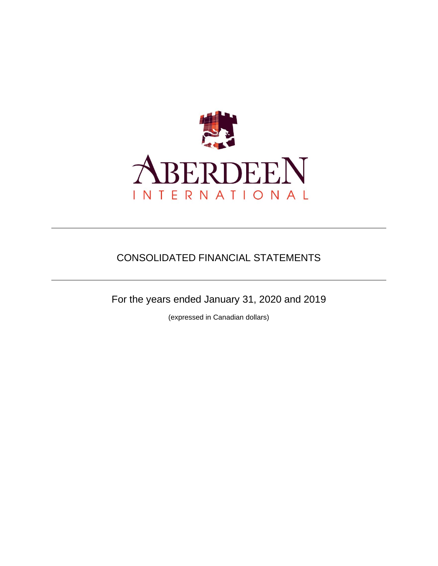

# CONSOLIDATED FINANCIAL STATEMENTS

For the years ended January 31, 2020 and 2019

(expressed in Canadian dollars)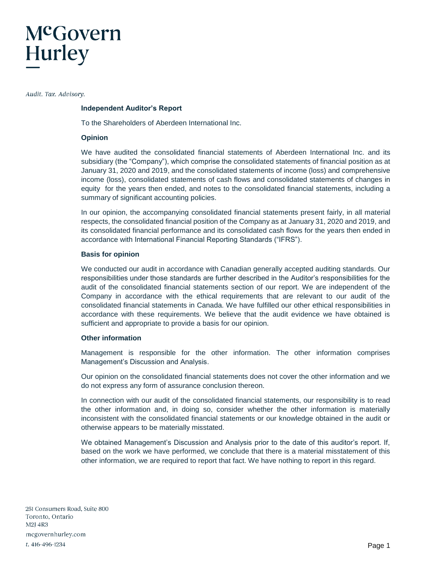# McGovern **Hurley**

Audit. Tax. Advisory.

## **Independent Auditor's Report**

To the Shareholders of Aberdeen International Inc.

## **Opinion**

We have audited the consolidated financial statements of Aberdeen International Inc. and its subsidiary (the "Company"), which comprise the consolidated statements of financial position as at January 31, 2020 and 2019, and the consolidated statements of income (loss) and comprehensive income (loss), consolidated statements of cash flows and consolidated statements of changes in equity for the years then ended, and notes to the consolidated financial statements, including a summary of significant accounting policies.

In our opinion, the accompanying consolidated financial statements present fairly, in all material respects, the consolidated financial position of the Company as at January 31, 2020 and 2019, and its consolidated financial performance and its consolidated cash flows for the years then ended in accordance with International Financial Reporting Standards ("IFRS").

## **Basis for opinion**

We conducted our audit in accordance with Canadian generally accepted auditing standards. Our responsibilities under those standards are further described in the Auditor's responsibilities for the audit of the consolidated financial statements section of our report. We are independent of the Company in accordance with the ethical requirements that are relevant to our audit of the consolidated financial statements in Canada. We have fulfilled our other ethical responsibilities in accordance with these requirements. We believe that the audit evidence we have obtained is sufficient and appropriate to provide a basis for our opinion.

## **Other information**

Management is responsible for the other information. The other information comprises Management's Discussion and Analysis.

Our opinion on the consolidated financial statements does not cover the other information and we do not express any form of assurance conclusion thereon.

In connection with our audit of the consolidated financial statements, our responsibility is to read the other information and, in doing so, consider whether the other information is materially inconsistent with the consolidated financial statements or our knowledge obtained in the audit or otherwise appears to be materially misstated.

We obtained Management's Discussion and Analysis prior to the date of this auditor's report. If, based on the work we have performed, we conclude that there is a material misstatement of this other information, we are required to report that fact. We have nothing to report in this regard.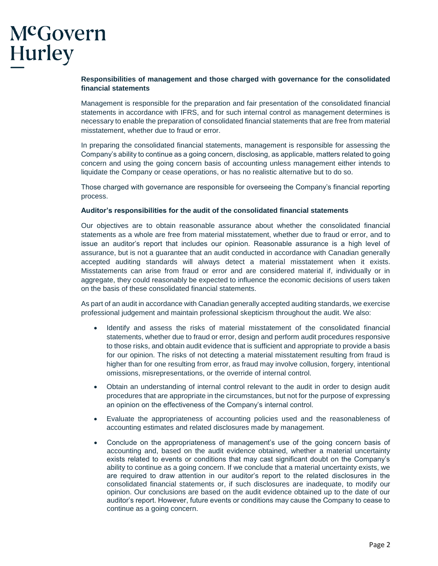# McGovern Hurley

## **Responsibilities of management and those charged with governance for the consolidated financial statements**

Management is responsible for the preparation and fair presentation of the consolidated financial statements in accordance with IFRS, and for such internal control as management determines is necessary to enable the preparation of consolidated financial statements that are free from material misstatement, whether due to fraud or error.

In preparing the consolidated financial statements, management is responsible for assessing the Company's ability to continue as a going concern, disclosing, as applicable, matters related to going concern and using the going concern basis of accounting unless management either intends to liquidate the Company or cease operations, or has no realistic alternative but to do so.

Those charged with governance are responsible for overseeing the Company's financial reporting process.

## **Auditor's responsibilities for the audit of the consolidated financial statements**

Our objectives are to obtain reasonable assurance about whether the consolidated financial statements as a whole are free from material misstatement, whether due to fraud or error, and to issue an auditor's report that includes our opinion. Reasonable assurance is a high level of assurance, but is not a guarantee that an audit conducted in accordance with Canadian generally accepted auditing standards will always detect a material misstatement when it exists. Misstatements can arise from fraud or error and are considered material if, individually or in aggregate, they could reasonably be expected to influence the economic decisions of users taken on the basis of these consolidated financial statements.

As part of an audit in accordance with Canadian generally accepted auditing standards, we exercise professional judgement and maintain professional skepticism throughout the audit. We also:

- Identify and assess the risks of material misstatement of the consolidated financial statements, whether due to fraud or error, design and perform audit procedures responsive to those risks, and obtain audit evidence that is sufficient and appropriate to provide a basis for our opinion. The risks of not detecting a material misstatement resulting from fraud is higher than for one resulting from error, as fraud may involve collusion, forgery, intentional omissions, misrepresentations, or the override of internal control.
- Obtain an understanding of internal control relevant to the audit in order to design audit procedures that are appropriate in the circumstances, but not for the purpose of expressing an opinion on the effectiveness of the Company's internal control.
- Evaluate the appropriateness of accounting policies used and the reasonableness of accounting estimates and related disclosures made by management.
- Conclude on the appropriateness of management's use of the going concern basis of accounting and, based on the audit evidence obtained, whether a material uncertainty exists related to events or conditions that may cast significant doubt on the Company's ability to continue as a going concern. If we conclude that a material uncertainty exists, we are required to draw attention in our auditor's report to the related disclosures in the consolidated financial statements or, if such disclosures are inadequate, to modify our opinion. Our conclusions are based on the audit evidence obtained up to the date of our auditor's report. However, future events or conditions may cause the Company to cease to continue as a going concern.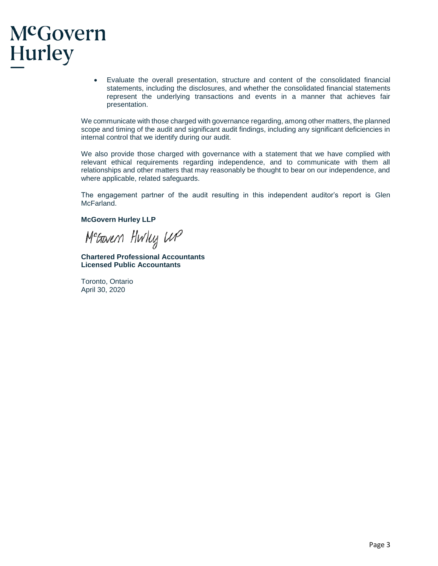# McGovern **Hurley**

 Evaluate the overall presentation, structure and content of the consolidated financial statements, including the disclosures, and whether the consolidated financial statements represent the underlying transactions and events in a manner that achieves fair presentation.

We communicate with those charged with governance regarding, among other matters, the planned scope and timing of the audit and significant audit findings, including any significant deficiencies in internal control that we identify during our audit.

We also provide those charged with governance with a statement that we have complied with relevant ethical requirements regarding independence, and to communicate with them all relationships and other matters that may reasonably be thought to bear on our independence, and where applicable, related safeguards.

The engagement partner of the audit resulting in this independent auditor's report is Glen McFarland.

## **McGovern Hurley LLP**

M<sup>e</sup>taven Hwluj WP

**Chartered Professional Accountants Licensed Public Accountants**

Toronto, Ontario April 30, 2020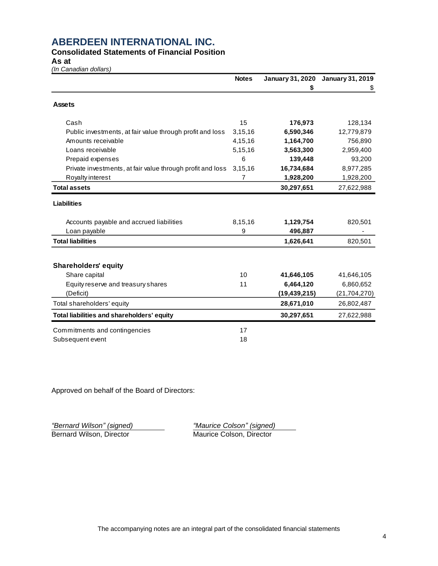## **Consolidated Statements of Financial Position**

**As at**

*(In Canadian dollars)*

|                                                            | <b>Notes</b> | <b>January 31, 2020</b> | <b>January 31, 2019</b> |
|------------------------------------------------------------|--------------|-------------------------|-------------------------|
|                                                            |              | \$                      | \$                      |
| <b>Assets</b>                                              |              |                         |                         |
| Cash                                                       | 15           | 176,973                 | 128,134                 |
| Public investments, at fair value through profit and loss  | 3,15,16      | 6,590,346               | 12,779,879              |
| Amounts receivable                                         | 4,15,16      | 1,164,700               | 756,890                 |
| Loans receivable                                           | 5,15,16      | 3,563,300               | 2,959,400               |
| Prepaid expenses                                           | 6            | 139,448                 | 93,200                  |
| Private investments, at fair value through profit and loss | 3,15,16      | 16,734,684              | 8,977,285               |
| Royalty interest                                           | 7            | 1,928,200               | 1,928,200               |
| <b>Total assets</b>                                        |              | 30,297,651              | 27,622,988              |
| <b>Liabilities</b>                                         |              |                         |                         |
| Accounts payable and accrued liabilities                   | 8,15,16      | 1,129,754               | 820,501                 |
| Loan payable                                               | 9            | 496,887                 |                         |
| <b>Total liabilities</b>                                   |              | 1,626,641               | 820,501                 |
|                                                            |              |                         |                         |
| <b>Shareholders' equity</b>                                | 10           |                         |                         |
| Share capital                                              | 11           | 41,646,105              | 41,646,105              |
| Equity reserve and treasury shares<br>(Deficit)            |              | 6,464,120               | 6,860,652               |
|                                                            |              | (19, 439, 215)          | (21, 704, 270)          |
| Total shareholders' equity                                 |              | 28,671,010              | 26,802,487              |
| Total liabilities and shareholders' equity                 |              | 30,297,651              | 27,622,988              |
| Commitments and contingencies                              | 17           |                         |                         |
| Subsequent event                                           | 18           |                         |                         |

Approved on behalf of the Board of Directors:

*"Bernard Wilson" (signed) "Maurice Colson" (signed)* Bernard Wilson, Director **Maurice Colson, Director**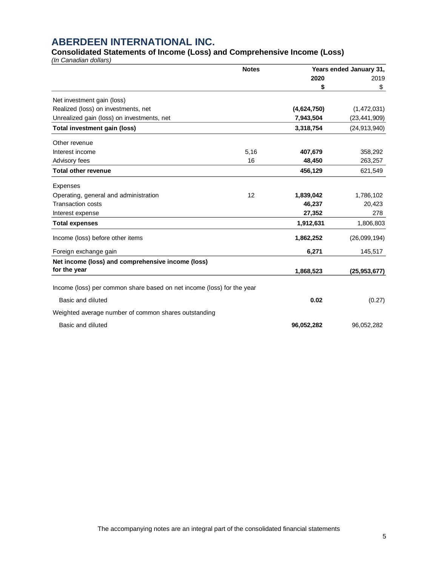## **Consolidated Statements of Income (Loss) and Comprehensive Income (Loss)**

*(In Canadian dollars)*

|                                                                        | <b>Notes</b> |             | Years ended January 31, |  |
|------------------------------------------------------------------------|--------------|-------------|-------------------------|--|
|                                                                        |              | 2020        | 2019                    |  |
|                                                                        |              | \$          | \$                      |  |
| Net investment gain (loss)                                             |              |             |                         |  |
| Realized (loss) on investments, net                                    |              | (4,624,750) | (1,472,031)             |  |
| Unrealized gain (loss) on investments, net                             |              | 7,943,504   | (23, 441, 909)          |  |
| Total investment gain (loss)                                           |              | 3,318,754   | (24, 913, 940)          |  |
| Other revenue                                                          |              |             |                         |  |
| Interest income                                                        | 5,16         | 407,679     | 358,292                 |  |
| <b>Advisory fees</b>                                                   | 16           | 48,450      | 263,257                 |  |
| <b>Total other revenue</b>                                             |              | 456,129     | 621,549                 |  |
| <b>Expenses</b>                                                        |              |             |                         |  |
| Operating, general and administration                                  | 12           | 1,839,042   | 1,786,102               |  |
| <b>Transaction costs</b>                                               |              | 46.237      | 20,423                  |  |
| Interest expense                                                       |              | 27,352      | 278                     |  |
| <b>Total expenses</b>                                                  |              | 1,912,631   | 1,806,803               |  |
| Income (loss) before other items                                       |              | 1,862,252   | (26,099,194)            |  |
| Foreign exchange gain                                                  |              | 6,271       | 145,517                 |  |
| Net income (loss) and comprehensive income (loss)                      |              |             |                         |  |
| for the year                                                           |              | 1,868,523   | (25,953,677)            |  |
| Income (loss) per common share based on net income (loss) for the year |              |             |                         |  |
| Basic and diluted                                                      |              | 0.02        | (0.27)                  |  |
| Weighted average number of common shares outstanding                   |              |             |                         |  |
| Basic and diluted                                                      |              | 96,052,282  | 96,052,282              |  |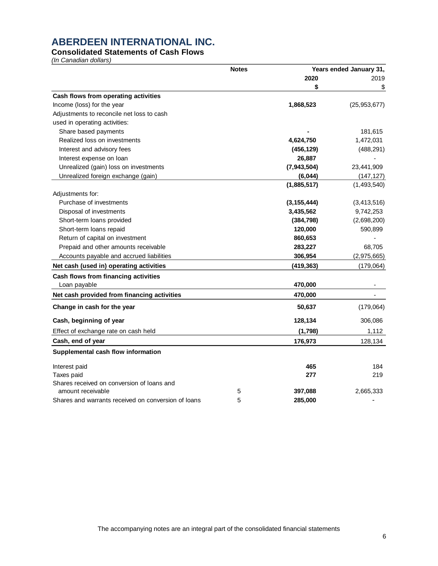## **Consolidated Statements of Cash Flows**

*(In Canadian dollars)*

|                                                     | <b>Notes</b> |               | Years ended January 31, |  |
|-----------------------------------------------------|--------------|---------------|-------------------------|--|
|                                                     |              | 2020          | 2019                    |  |
|                                                     |              | \$            | \$                      |  |
| Cash flows from operating activities                |              |               |                         |  |
| Income (loss) for the year                          |              | 1,868,523     | (25, 953, 677)          |  |
| Adjustments to reconcile net loss to cash           |              |               |                         |  |
| used in operating activities:                       |              |               |                         |  |
| Share based payments                                |              |               | 181,615                 |  |
| Realized loss on investments                        |              | 4,624,750     | 1,472,031               |  |
| Interest and advisory fees                          |              | (456, 129)    | (488, 291)              |  |
| Interest expense on loan                            |              | 26,887        |                         |  |
| Unrealized (gain) loss on investments               |              | (7,943,504)   | 23,441,909              |  |
| Unrealized foreign exchange (gain)                  |              | (6,044)       | (147, 127)              |  |
|                                                     |              | (1,885,517)   | (1,493,540)             |  |
| Adjustments for:                                    |              |               |                         |  |
| Purchase of investments                             |              | (3, 155, 444) | (3,413,516)             |  |
| Disposal of investments                             |              | 3,435,562     | 9,742,253               |  |
| Short-term loans provided                           |              | (384, 798)    | (2,698,200)             |  |
| Short-term loans repaid                             |              | 120,000       | 590,899                 |  |
| Return of capital on investment                     |              | 860,653       |                         |  |
| Prepaid and other amounts receivable                |              | 283,227       | 68,705                  |  |
| Accounts payable and accrued liabilities            |              | 306,954       | (2,975,665)             |  |
| Net cash (used in) operating activities             |              | (419, 363)    | (179,064)               |  |
| Cash flows from financing activities                |              |               |                         |  |
| Loan payable                                        |              | 470,000       |                         |  |
| Net cash provided from financing activities         |              | 470,000       | $\blacksquare$          |  |
| Change in cash for the year                         |              | 50,637        | (179,064)               |  |
| Cash, beginning of year                             |              | 128,134       | 306,086                 |  |
| Effect of exchange rate on cash held                |              | (1,798)       | 1,112                   |  |
| Cash, end of year                                   |              | 176,973       | 128,134                 |  |
| Supplemental cash flow information                  |              |               |                         |  |
| Interest paid                                       |              | 465           | 184                     |  |
| Taxes paid                                          |              | 277           | 219                     |  |
| Shares received on conversion of loans and          |              |               |                         |  |
| amount receivable                                   | 5            | 397,088       | 2,665,333               |  |
| Shares and warrants received on conversion of loans | 5            | 285,000       |                         |  |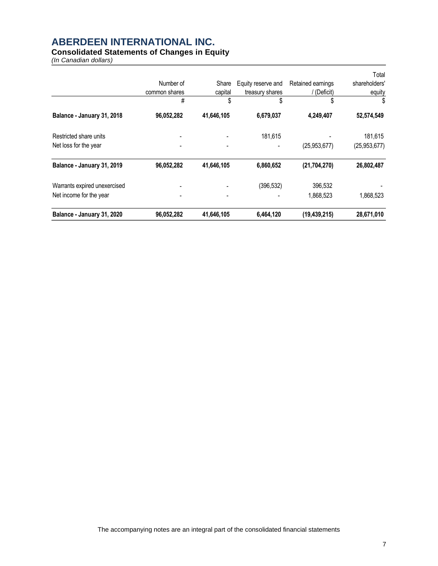## **Consolidated Statements of Changes in Equity**

*(In Canadian dollars)*

|                                                         | Number of<br>common shares<br># | Share<br>capital<br>\$ | Equity reserve and<br>treasury shares<br>\$ | Retained earnings<br>' (Deficit)<br>\$ | Total<br>shareholders'<br>equity<br>\$ |
|---------------------------------------------------------|---------------------------------|------------------------|---------------------------------------------|----------------------------------------|----------------------------------------|
| Balance - January 31, 2018                              | 96,052,282                      | 41,646,105             | 6,679,037                                   | 4,249,407                              | 52,574,549                             |
| Restricted share units<br>Net loss for the year         |                                 | ٠                      | 181,615                                     | (25, 953, 677)                         | 181,615<br>(25, 953, 677)              |
| Balance - January 31, 2019                              | 96,052,282                      | 41,646,105             | 6,860,652                                   | (21, 704, 270)                         | 26,802,487                             |
| Warrants expired unexercised<br>Net income for the year |                                 |                        | (396, 532)                                  | 396,532<br>1,868,523                   | 1,868,523                              |
| Balance - January 31, 2020                              | 96,052,282                      | 41,646,105             | 6,464,120                                   | (19, 439, 215)                         | 28,671,010                             |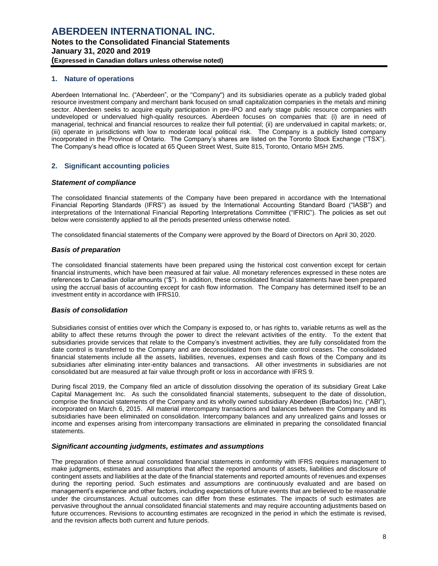**ABERDEEN INTERNATIONAL INC. Notes to the Consolidated Financial Statements January 31, 2020 and 2019 (Expressed in Canadian dollars unless otherwise noted)**

## **1. Nature of operations**

Aberdeen International Inc. ("Aberdeen", or the "Company") and its subsidiaries operate as a publicly traded global resource investment company and merchant bank focused on small capitalization companies in the metals and mining sector. Aberdeen seeks to acquire equity participation in pre-IPO and early stage public resource companies with undeveloped or undervalued high-quality resources. Aberdeen focuses on companies that: (i) are in need of managerial, technical and financial resources to realize their full potential; (ii) are undervalued in capital markets; or, (iii) operate in jurisdictions with low to moderate local political risk. The Company is a publicly listed company incorporated in the Province of Ontario. The Company's shares are listed on the Toronto Stock Exchange ("TSX"). The Company's head office is located at 65 Queen Street West, Suite 815, Toronto, Ontario M5H 2M5.

## **2. Significant accounting policies**

## *Statement of compliance*

The consolidated financial statements of the Company have been prepared in accordance with the International Financial Reporting Standards (IFRS") as issued by the International Accounting Standard Board ("IASB") and interpretations of the International Financial Reporting Interpretations Committee ("IFRIC"). The policies as set out below were consistently applied to all the periods presented unless otherwise noted.

The consolidated financial statements of the Company were approved by the Board of Directors on April 30, 2020.

## *Basis of preparation*

The consolidated financial statements have been prepared using the historical cost convention except for certain financial instruments, which have been measured at fair value. All monetary references expressed in these notes are references to Canadian dollar amounts ("\$"). In addition, these consolidated financial statements have been prepared using the accrual basis of accounting except for cash flow information. The Company has determined itself to be an investment entity in accordance with IFRS10.

## *Basis of consolidation*

Subsidiaries consist of entities over which the Company is exposed to, or has rights to, variable returns as well as the ability to affect these returns through the power to direct the relevant activities of the entity. To the extent that subsidiaries provide services that relate to the Company's investment activities, they are fully consolidated from the date control is transferred to the Company and are deconsolidated from the date control ceases. The consolidated financial statements include all the assets, liabilities, revenues, expenses and cash flows of the Company and its subsidiaries after eliminating inter-entity balances and transactions. All other investments in subsidiaries are not consolidated but are measured at fair value through profit or loss in accordance with IFRS 9.

During fiscal 2019, the Company filed an article of dissolution dissolving the operation of its subsidiary Great Lake Capital Management Inc. As such the consolidated financial statements, subsequent to the date of dissolution, comprise the financial statements of the Company and its wholly owned subsidiary Aberdeen (Barbados) Inc. ("ABI"), incorporated on March 6, 2015. All material intercompany transactions and balances between the Company and its subsidiaries have been eliminated on consolidation. Intercompany balances and any unrealized gains and losses or income and expenses arising from intercompany transactions are eliminated in preparing the consolidated financial statements.

## *Significant accounting judgments, estimates and assumptions*

The preparation of these annual consolidated financial statements in conformity with IFRS requires management to make judgments, estimates and assumptions that affect the reported amounts of assets, liabilities and disclosure of contingent assets and liabilities at the date of the financial statements and reported amounts of revenues and expenses during the reporting period. Such estimates and assumptions are continuously evaluated and are based on management's experience and other factors, including expectations of future events that are believed to be reasonable under the circumstances. Actual outcomes can differ from these estimates. The impacts of such estimates are pervasive throughout the annual consolidated financial statements and may require accounting adjustments based on future occurrences. Revisions to accounting estimates are recognized in the period in which the estimate is revised, and the revision affects both current and future periods.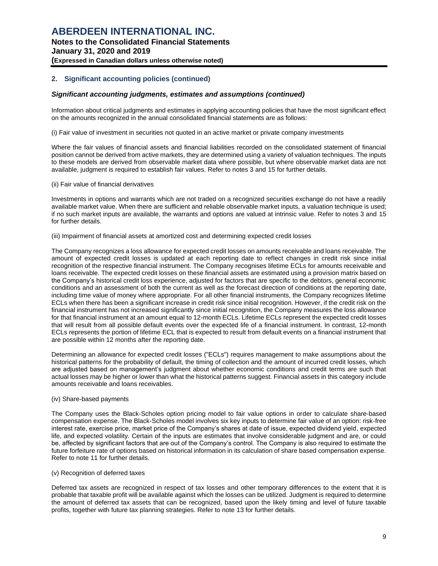## *Significant accounting judgments, estimates and assumptions (continued)*

Information about critical judgments and estimates in applying accounting policies that have the most significant effect on the amounts recognized in the annual consolidated financial statements are as follows:

(i) Fair value of investment in securities not quoted in an active market or private company investments

Where the fair values of financial assets and financial liabilities recorded on the consolidated statement of financial position cannot be derived from active markets, they are determined using a variety of valuation techniques. The inputs to these models are derived from observable market data where possible, but where observable market data are not available, judgment is required to establish fair values. Refer to notes 3 and 15 for further details.

(ii) Fair value of financial derivatives

Investments in options and warrants which are not traded on a recognized securities exchange do not have a readily available market value. When there are sufficient and reliable observable market inputs, a valuation technique is used; if no such market inputs are available, the warrants and options are valued at intrinsic value. Refer to notes 3 and 15 for further details.

#### (iii) Impairment of financial assets at amortized cost and determining expected credit losses

The Company recognizes a loss allowance for expected credit losses on amounts receivable and loans receivable. The amount of expected credit losses is updated at each reporting date to reflect changes in credit risk since initial recognition of the respective financial instrument. The Company recognises lifetime ECLs for amounts receivable and loans receivable. The expected credit losses on these financial assets are estimated using a provision matrix based on the Company's historical credit loss experience, adjusted for factors that are specific to the debtors, general economic conditions and an assessment of both the current as well as the forecast direction of conditions at the reporting date, including time value of money where appropriate. For all other financial instruments, the Company recognizes lifetime ECLs when there has been a significant increase in credit risk since initial recognition. However, if the credit risk on the financial instrument has not increased significantly since initial recognition, the Company measures the loss allowance for that financial instrument at an amount equal to 12-month ECLs. Lifetime ECLs represent the expected credit losses that will result from all possible default events over the expected life of a financial instrument. In contrast, 12-month ECLs represents the portion of lifetime ECL that is expected to result from default events on a financial instrument that are possible within 12 months after the reporting date.

Determining an allowance for expected credit losses ("ECLs") requires management to make assumptions about the historical patterns for the probability of default, the timing of collection and the amount of incurred credit losses, which are adjusted based on management's judgment about whether economic conditions and credit terms are such that actual losses may be higher or lower than what the historical patterns suggest. Financial assets in this category include amounts receivable and loans receivables.

#### (iv) Share-based payments

The Company uses the Black-Scholes option pricing model to fair value options in order to calculate share-based compensation expense. The Black-Scholes model involves six key inputs to determine fair value of an option: risk-free interest rate, exercise price, market price of the Company's shares at date of issue, expected dividend yield, expected life, and expected volatility. Certain of the inputs are estimates that involve considerable judgment and are, or could be, affected by significant factors that are out of the Company's control. The Company is also required to estimate the future forfeiture rate of options based on historical information in its calculation of share based compensation expense. Refer to note 11 for further details.

## (v) Recognition of deferred taxes

Deferred tax assets are recognized in respect of tax losses and other temporary differences to the extent that it is probable that taxable profit will be available against which the losses can be utilized. Judgment is required to determine the amount of deferred tax assets that can be recognized, based upon the likely timing and level of future taxable profits, together with future tax planning strategies. Refer to note 13 for further details.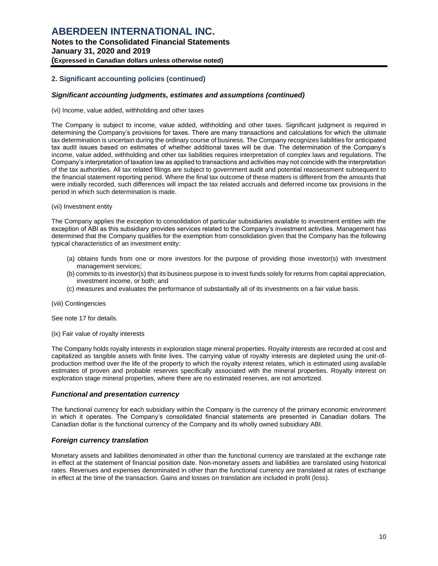## *Significant accounting judgments, estimates and assumptions (continued)*

(vi) Income, value added, withholding and other taxes

The Company is subject to income, value added, withholding and other taxes. Significant judgment is required in determining the Company's provisions for taxes. There are many transactions and calculations for which the ultimate tax determination is uncertain during the ordinary course of business. The Company recognizes liabilities for anticipated tax audit issues based on estimates of whether additional taxes will be due. The determination of the Company's income, value added, withholding and other tax liabilities requires interpretation of complex laws and regulations. The Company's interpretation of taxation law as applied to transactions and activities may not coincide with the interpretation of the tax authorities. All tax related filings are subject to government audit and potential reassessment subsequent to the financial statement reporting period. Where the final tax outcome of these matters is different from the amounts that were initially recorded, such differences will impact the tax related accruals and deferred income tax provisions in the period in which such determination is made.

#### (vii) Investment entity

The Company applies the exception to consolidation of particular subsidiaries available to investment entities with the exception of ABI as this subsidiary provides services related to the Company's investment activities. Management has determined that the Company qualifies for the exemption from consolidation given that the Company has the following typical characteristics of an investment entity:

- (a) obtains funds from one or more investors for the purpose of providing those investor(s) with investment management services;
- (b) commits to its investor(s) that its business purpose is to invest funds solely for returns from capital appreciation, investment income, or both; and
- (c) measures and evaluates the performance of substantially all of its investments on a fair value basis.
- (viii) Contingencies

See note 17 for details.

(ix) Fair value of royalty interests

The Company holds royalty interests in exploration stage mineral properties. Royalty interests are recorded at cost and capitalized as tangible assets with finite lives. The carrying value of royalty interests are depleted using the unit-ofproduction method over the life of the property to which the royalty interest relates, which is estimated using available estimates of proven and probable reserves specifically associated with the mineral properties. Royalty interest on exploration stage mineral properties, where there are no estimated reserves, are not amortized.

## *Functional and presentation currency*

The functional currency for each subsidiary within the Company is the currency of the primary economic environment in which it operates. The Company's consolidated financial statements are presented in Canadian dollars. The Canadian dollar is the functional currency of the Company and its wholly owned subsidiary ABI.

## *Foreign currency translation*

Monetary assets and liabilities denominated in other than the functional currency are translated at the exchange rate in effect at the statement of financial position date. Non-monetary assets and liabilities are translated using historical rates. Revenues and expenses denominated in other than the functional currency are translated at rates of exchange in effect at the time of the transaction. Gains and losses on translation are included in profit (loss).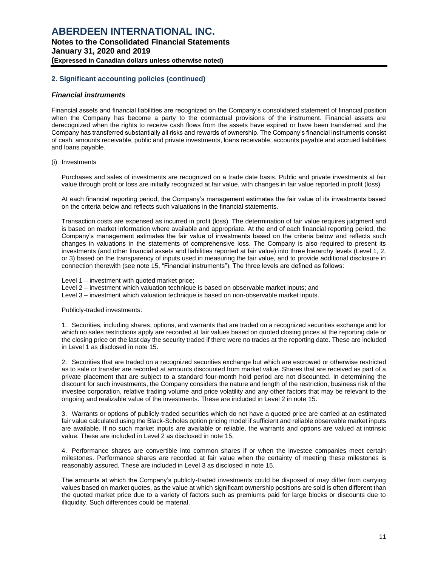## *Financial instruments*

Financial assets and financial liabilities are recognized on the Company's consolidated statement of financial position when the Company has become a party to the contractual provisions of the instrument. Financial assets are derecognized when the rights to receive cash flows from the assets have expired or have been transferred and the Company has transferred substantially all risks and rewards of ownership. The Company's financial instruments consist of cash, amounts receivable, public and private investments, loans receivable, accounts payable and accrued liabilities and loans payable.

#### (i) Investments

Purchases and sales of investments are recognized on a trade date basis. Public and private investments at fair value through profit or loss are initially recognized at fair value, with changes in fair value reported in profit (loss).

At each financial reporting period, the Company's management estimates the fair value of its investments based on the criteria below and reflects such valuations in the financial statements.

Transaction costs are expensed as incurred in profit (loss). The determination of fair value requires judgment and is based on market information where available and appropriate. At the end of each financial reporting period, the Company's management estimates the fair value of investments based on the criteria below and reflects such changes in valuations in the statements of comprehensive loss. The Company is also required to present its investments (and other financial assets and liabilities reported at fair value) into three hierarchy levels (Level 1, 2, or 3) based on the transparency of inputs used in measuring the fair value, and to provide additional disclosure in connection therewith (see note 15, "Financial instruments"). The three levels are defined as follows:

Level 1 – investment with quoted market price; Level 2 – investment which valuation technique is based on observable market inputs; and Level 3 – investment which valuation technique is based on non-observable market inputs.

#### Publicly-traded investments:

1. Securities, including shares, options, and warrants that are traded on a recognized securities exchange and for which no sales restrictions apply are recorded at fair values based on quoted closing prices at the reporting date or the closing price on the last day the security traded if there were no trades at the reporting date. These are included in Level 1 as disclosed in note 15.

2. Securities that are traded on a recognized securities exchange but which are escrowed or otherwise restricted as to sale or transfer are recorded at amounts discounted from market value. Shares that are received as part of a private placement that are subject to a standard four-month hold period are not discounted. In determining the discount for such investments, the Company considers the nature and length of the restriction, business risk of the investee corporation, relative trading volume and price volatility and any other factors that may be relevant to the ongoing and realizable value of the investments. These are included in Level 2 in note 15.

3. Warrants or options of publicly-traded securities which do not have a quoted price are carried at an estimated fair value calculated using the Black-Scholes option pricing model if sufficient and reliable observable market inputs are available. If no such market inputs are available or reliable, the warrants and options are valued at intrinsic value. These are included in Level 2 as disclosed in note 15.

4. Performance shares are convertible into common shares if or when the investee companies meet certain milestones. Performance shares are recorded at fair value when the certainty of meeting these milestones is reasonably assured. These are included in Level 3 as disclosed in note 15.

The amounts at which the Company's publicly-traded investments could be disposed of may differ from carrying values based on market quotes, as the value at which significant ownership positions are sold is often different than the quoted market price due to a variety of factors such as premiums paid for large blocks or discounts due to illiquidity. Such differences could be material.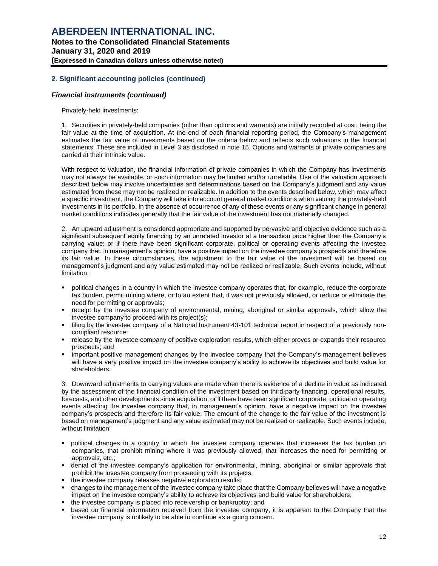## *Financial instruments (continued)*

Privately-held investments:

1. Securities in privately-held companies (other than options and warrants) are initially recorded at cost, being the fair value at the time of acquisition. At the end of each financial reporting period, the Company's management estimates the fair value of investments based on the criteria below and reflects such valuations in the financial statements. These are included in Level 3 as disclosed in note 15. Options and warrants of private companies are carried at their intrinsic value.

With respect to valuation, the financial information of private companies in which the Company has investments may not always be available, or such information may be limited and/or unreliable. Use of the valuation approach described below may involve uncertainties and determinations based on the Company's judgment and any value estimated from these may not be realized or realizable. In addition to the events described below, which may affect a specific investment, the Company will take into account general market conditions when valuing the privately-held investments in its portfolio. In the absence of occurrence of any of these events or any significant change in general market conditions indicates generally that the fair value of the investment has not materially changed.

2. An upward adjustment is considered appropriate and supported by pervasive and objective evidence such as a significant subsequent equity financing by an unrelated investor at a transaction price higher than the Company's carrying value; or if there have been significant corporate, political or operating events affecting the investee company that, in management's opinion, have a positive impact on the investee company's prospects and therefore its fair value. In these circumstances, the adjustment to the fair value of the investment will be based on management's judgment and any value estimated may not be realized or realizable. Such events include, without limitation:

- political changes in a country in which the investee company operates that, for example, reduce the corporate tax burden, permit mining where, or to an extent that, it was not previously allowed, or reduce or eliminate the need for permitting or approvals;
- receipt by the investee company of environmental, mining, aboriginal or similar approvals, which allow the investee company to proceed with its project(s);
- filing by the investee company of a National Instrument 43-101 technical report in respect of a previously noncompliant resource;
- release by the investee company of positive exploration results, which either proves or expands their resource prospects; and
- important positive management changes by the investee company that the Company's management believes will have a very positive impact on the investee company's ability to achieve its objectives and build value for shareholders.

3. Downward adjustments to carrying values are made when there is evidence of a decline in value as indicated by the assessment of the financial condition of the investment based on third party financing, operational results, forecasts, and other developments since acquisition, or if there have been significant corporate, political or operating events affecting the investee company that, in management's opinion, have a negative impact on the investee company's prospects and therefore its fair value. The amount of the change to the fair value of the investment is based on management's judgment and any value estimated may not be realized or realizable. Such events include, without limitation:

- political changes in a country in which the investee company operates that increases the tax burden on companies, that prohibit mining where it was previously allowed, that increases the need for permitting or approvals, etc.;
- denial of the investee company's application for environmental, mining, aboriginal or similar approvals that prohibit the investee company from proceeding with its projects;
- the investee company releases negative exploration results;
- changes to the management of the investee company take place that the Company believes will have a negative impact on the investee company's ability to achieve its objectives and build value for shareholders;
- the investee company is placed into receivership or bankruptcy; and
- based on financial information received from the investee company, it is apparent to the Company that the investee company is unlikely to be able to continue as a going concern.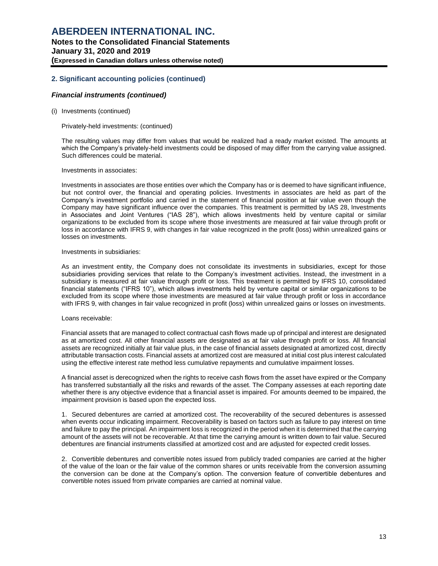## *Financial instruments (continued)*

#### (i) Investments (continued)

Privately-held investments: (continued)

The resulting values may differ from values that would be realized had a ready market existed. The amounts at which the Company's privately-held investments could be disposed of may differ from the carrying value assigned. Such differences could be material.

#### Investments in associates:

Investments in associates are those entities over which the Company has or is deemed to have significant influence, but not control over, the financial and operating policies. Investments in associates are held as part of the Company's investment portfolio and carried in the statement of financial position at fair value even though the Company may have significant influence over the companies. This treatment is permitted by IAS 28, Investments in Associates and Joint Ventures ("IAS 28"), which allows investments held by venture capital or similar organizations to be excluded from its scope where those investments are measured at fair value through profit or loss in accordance with IFRS 9, with changes in fair value recognized in the profit (loss) within unrealized gains or losses on investments.

## Investments in subsidiaries:

As an investment entity, the Company does not consolidate its investments in subsidiaries, except for those subsidiaries providing services that relate to the Company's investment activities. Instead, the investment in a subsidiary is measured at fair value through profit or loss. This treatment is permitted by IFRS 10, consolidated financial statements ("IFRS 10"), which allows investments held by venture capital or similar organizations to be excluded from its scope where those investments are measured at fair value through profit or loss in accordance with IFRS 9, with changes in fair value recognized in profit (loss) within unrealized gains or losses on investments.

#### Loans receivable:

Financial assets that are managed to collect contractual cash flows made up of principal and interest are designated as at amortized cost. All other financial assets are designated as at fair value through profit or loss. All financial assets are recognized initially at fair value plus, in the case of financial assets designated at amortized cost, directly attributable transaction costs. Financial assets at amortized cost are measured at initial cost plus interest calculated using the effective interest rate method less cumulative repayments and cumulative impairment losses.

A financial asset is derecognized when the rights to receive cash flows from the asset have expired or the Company has transferred substantially all the risks and rewards of the asset. The Company assesses at each reporting date whether there is any objective evidence that a financial asset is impaired. For amounts deemed to be impaired, the impairment provision is based upon the expected loss.

1. Secured debentures are carried at amortized cost. The recoverability of the secured debentures is assessed when events occur indicating impairment. Recoverability is based on factors such as failure to pay interest on time and failure to pay the principal. An impairment loss is recognized in the period when it is determined that the carrying amount of the assets will not be recoverable. At that time the carrying amount is written down to fair value. Secured debentures are financial instruments classified at amortized cost and are adjusted for expected credit losses.

2. Convertible debentures and convertible notes issued from publicly traded companies are carried at the higher of the value of the loan or the fair value of the common shares or units receivable from the conversion assuming the conversion can be done at the Company's option. The conversion feature of convertible debentures and convertible notes issued from private companies are carried at nominal value.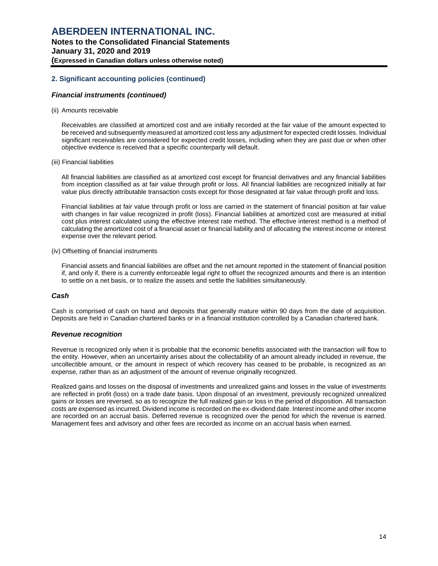## *Financial instruments (continued)*

(ii) Amounts receivable

Receivables are classified at amortized cost and are initially recorded at the fair value of the amount expected to be received and subsequently measured at amortized cost less any adjustment for expected credit losses. Individual significant receivables are considered for expected credit losses, including when they are past due or when other objective evidence is received that a specific counterparty will default.

(iii) Financial liabilities

All financial liabilities are classified as at amortized cost except for financial derivatives and any financial liabilities from inception classified as at fair value through profit or loss. All financial liabilities are recognized initially at fair value plus directly attributable transaction costs except for those designated at fair value through profit and loss.

Financial liabilities at fair value through profit or loss are carried in the statement of financial position at fair value with changes in fair value recognized in profit (loss). Financial liabilities at amortized cost are measured at initial cost plus interest calculated using the effective interest rate method. The effective interest method is a method of calculating the amortized cost of a financial asset or financial liability and of allocating the interest income or interest expense over the relevant period.

(iv) Offsetting of financial instruments

Financial assets and financial liabilities are offset and the net amount reported in the statement of financial position if, and only if, there is a currently enforceable legal right to offset the recognized amounts and there is an intention to settle on a net basis, or to realize the assets and settle the liabilities simultaneously.

## *Cash*

Cash is comprised of cash on hand and deposits that generally mature within 90 days from the date of acquisition. Deposits are held in Canadian chartered banks or in a financial institution controlled by a Canadian chartered bank.

## *Revenue recognition*

Revenue is recognized only when it is probable that the economic benefits associated with the transaction will flow to the entity. However, when an uncertainty arises about the collectability of an amount already included in revenue, the uncollectible amount, or the amount in respect of which recovery has ceased to be probable, is recognized as an expense, rather than as an adjustment of the amount of revenue originally recognized.

Realized gains and losses on the disposal of investments and unrealized gains and losses in the value of investments are reflected in profit (loss) on a trade date basis. Upon disposal of an investment, previously recognized unrealized gains or losses are reversed, so as to recognize the full realized gain or loss in the period of disposition. All transaction costs are expensed as incurred. Dividend income is recorded on the ex-dividend date. Interest income and other income are recorded on an accrual basis. Deferred revenue is recognized over the period for which the revenue is earned. Management fees and advisory and other fees are recorded as income on an accrual basis when earned.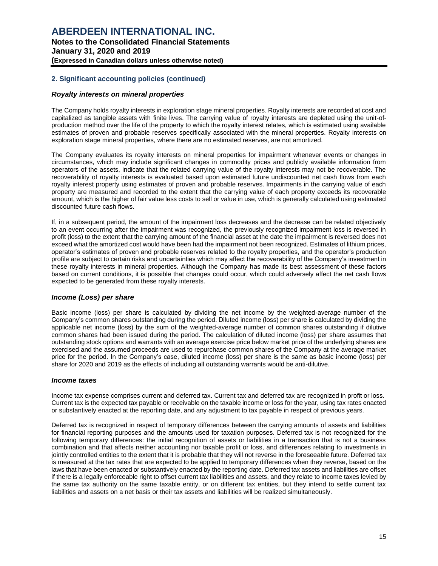## **ABERDEEN INTERNATIONAL INC. Notes to the Consolidated Financial Statements January 31, 2020 and 2019 (Expressed in Canadian dollars unless otherwise noted)**

## **2. Significant accounting policies (continued)**

## *Royalty interests on mineral properties*

The Company holds royalty interests in exploration stage mineral properties. Royalty interests are recorded at cost and capitalized as tangible assets with finite lives. The carrying value of royalty interests are depleted using the unit-ofproduction method over the life of the property to which the royalty interest relates, which is estimated using available estimates of proven and probable reserves specifically associated with the mineral properties. Royalty interests on exploration stage mineral properties, where there are no estimated reserves, are not amortized.

The Company evaluates its royalty interests on mineral properties for impairment whenever events or changes in circumstances, which may include significant changes in commodity prices and publicly available information from operators of the assets, indicate that the related carrying value of the royalty interests may not be recoverable. The recoverability of royalty interests is evaluated based upon estimated future undiscounted net cash flows from each royalty interest property using estimates of proven and probable reserves. Impairments in the carrying value of each property are measured and recorded to the extent that the carrying value of each property exceeds its recoverable amount, which is the higher of fair value less costs to sell or value in use, which is generally calculated using estimated discounted future cash flows.

If, in a subsequent period, the amount of the impairment loss decreases and the decrease can be related objectively to an event occurring after the impairment was recognized, the previously recognized impairment loss is reversed in profit (loss) to the extent that the carrying amount of the financial asset at the date the impairment is reversed does not exceed what the amortized cost would have been had the impairment not been recognized. Estimates of lithium prices, operator's estimates of proven and probable reserves related to the royalty properties, and the operator's production profile are subject to certain risks and uncertainties which may affect the recoverability of the Company's investment in these royalty interests in mineral properties. Although the Company has made its best assessment of these factors based on current conditions, it is possible that changes could occur, which could adversely affect the net cash flows expected to be generated from these royalty interests.

## *Income (Loss) per share*

Basic income (loss) per share is calculated by dividing the net income by the weighted-average number of the Company's common shares outstanding during the period. Diluted income (loss) per share is calculated by dividing the applicable net income (loss) by the sum of the weighted-average number of common shares outstanding if dilutive common shares had been issued during the period. The calculation of diluted income (loss) per share assumes that outstanding stock options and warrants with an average exercise price below market price of the underlying shares are exercised and the assumed proceeds are used to repurchase common shares of the Company at the average market price for the period. In the Company's case, diluted income (loss) per share is the same as basic income (loss) per share for 2020 and 2019 as the effects of including all outstanding warrants would be anti-dilutive.

## *Income taxes*

Income tax expense comprises current and deferred tax. Current tax and deferred tax are recognized in profit or loss. Current tax is the expected tax payable or receivable on the taxable income or loss for the year, using tax rates enacted or substantively enacted at the reporting date, and any adjustment to tax payable in respect of previous years.

Deferred tax is recognized in respect of temporary differences between the carrying amounts of assets and liabilities for financial reporting purposes and the amounts used for taxation purposes. Deferred tax is not recognized for the following temporary differences: the initial recognition of assets or liabilities in a transaction that is not a business combination and that affects neither accounting nor taxable profit or loss, and differences relating to investments in jointly controlled entities to the extent that it is probable that they will not reverse in the foreseeable future. Deferred tax is measured at the tax rates that are expected to be applied to temporary differences when they reverse, based on the laws that have been enacted or substantively enacted by the reporting date. Deferred tax assets and liabilities are offset if there is a legally enforceable right to offset current tax liabilities and assets, and they relate to income taxes levied by the same tax authority on the same taxable entity, or on different tax entities, but they intend to settle current tax liabilities and assets on a net basis or their tax assets and liabilities will be realized simultaneously.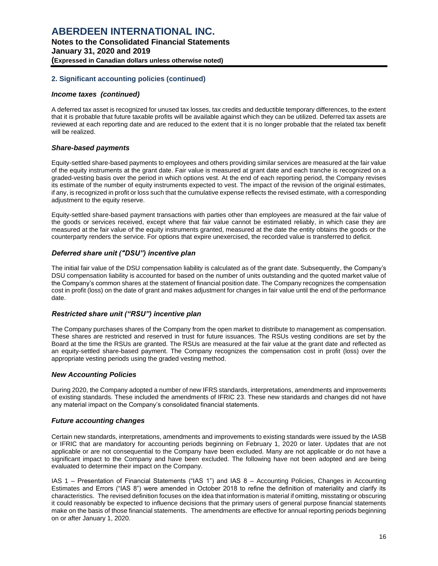## **ABERDEEN INTERNATIONAL INC. Notes to the Consolidated Financial Statements January 31, 2020 and 2019 (Expressed in Canadian dollars unless otherwise noted)**

## **2. Significant accounting policies (continued)**

## *Income taxes (continued)*

A deferred tax asset is recognized for unused tax losses, tax credits and deductible temporary differences, to the extent that it is probable that future taxable profits will be available against which they can be utilized. Deferred tax assets are reviewed at each reporting date and are reduced to the extent that it is no longer probable that the related tax benefit will be realized.

## *Share-based payments*

Equity-settled share-based payments to employees and others providing similar services are measured at the fair value of the equity instruments at the grant date. Fair value is measured at grant date and each tranche is recognized on a graded-vesting basis over the period in which options vest. At the end of each reporting period, the Company revises its estimate of the number of equity instruments expected to vest. The impact of the revision of the original estimates, if any, is recognized in profit or loss such that the cumulative expense reflects the revised estimate, with a corresponding adjustment to the equity reserve.

Equity-settled share-based payment transactions with parties other than employees are measured at the fair value of the goods or services received, except where that fair value cannot be estimated reliably, in which case they are measured at the fair value of the equity instruments granted, measured at the date the entity obtains the goods or the counterparty renders the service. For options that expire unexercised, the recorded value is transferred to deficit.

## *Deferred share unit ("DSU") incentive plan*

The initial fair value of the DSU compensation liability is calculated as of the grant date. Subsequently, the Company's DSU compensation liability is accounted for based on the number of units outstanding and the quoted market value of the Company's common shares at the statement of financial position date. The Company recognizes the compensation cost in profit (loss) on the date of grant and makes adjustment for changes in fair value until the end of the performance date.

## *Restricted share unit ("RSU") incentive plan*

The Company purchases shares of the Company from the open market to distribute to management as compensation. These shares are restricted and reserved in trust for future issuances. The RSUs vesting conditions are set by the Board at the time the RSUs are granted. The RSUs are measured at the fair value at the grant date and reflected as an equity-settled share-based payment. The Company recognizes the compensation cost in profit (loss) over the appropriate vesting periods using the graded vesting method.

## *New Accounting Policies*

During 2020, the Company adopted a number of new IFRS standards, interpretations, amendments and improvements of existing standards. These included the amendments of IFRIC 23. These new standards and changes did not have any material impact on the Company's consolidated financial statements.

## *Future accounting changes*

Certain new standards, interpretations, amendments and improvements to existing standards were issued by the IASB or IFRIC that are mandatory for accounting periods beginning on February 1, 2020 or later. Updates that are not applicable or are not consequential to the Company have been excluded. Many are not applicable or do not have a significant impact to the Company and have been excluded. The following have not been adopted and are being evaluated to determine their impact on the Company.

IAS 1 – Presentation of Financial Statements ("IAS 1") and IAS 8 – Accounting Policies, Changes in Accounting Estimates and Errors ("IAS 8") were amended in October 2018 to refine the definition of materiality and clarify its characteristics. The revised definition focuses on the idea that information is material if omitting, misstating or obscuring it could reasonably be expected to influence decisions that the primary users of general purpose financial statements make on the basis of those financial statements. The amendments are effective for annual reporting periods beginning on or after January 1, 2020.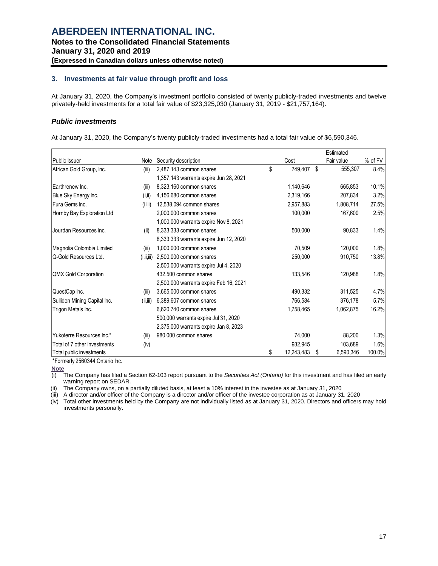## **3. Investments at fair value through profit and loss**

At January 31, 2020, the Company's investment portfolio consisted of twenty publicly-traded investments and twelve privately-held investments for a total fair value of \$23,325,030 (January 31, 2019 - \$21,757,164).

## *Public investments*

At January 31, 2020, the Company's twenty publicly-traded investments had a total fair value of \$6,590,346.

|                              |              |                                        |                  | Estimated       |         |
|------------------------------|--------------|----------------------------------------|------------------|-----------------|---------|
| Public Issuer                | Note         | Security description                   | Cost             | Fair value      | % of FV |
| African Gold Group, Inc.     | (iii)        | 2,487,143 common shares                | \$<br>749,407    | \$<br>555,307   | 8.4%    |
|                              |              | 1,357,143 warrants expire Jun 28, 2021 |                  |                 |         |
| Earthrenew Inc.              | (iii)        | 8,323,160 common shares                | 1,140,646        | 665,853         | 10.1%   |
| Blue Sky Energy Inc.         | (i, ii)      | 4,156,680 common shares                | 2,319,166        | 207,834         | 3.2%    |
| Fura Gems Inc.               | (i, iii)     | 12,538,094 common shares               | 2,957,883        | 1,808,714       | 27.5%   |
| Hornby Bay Exploration Ltd   |              | 2,000,000 common shares                | 100,000          | 167,600         | 2.5%    |
|                              |              | 1,000,000 warrants expire Nov 8, 2021  |                  |                 |         |
| Jourdan Resources Inc.       | (ii)         | 8,333,333 common shares                | 500,000          | 90,833          | 1.4%    |
|                              |              | 8,333,333 warrants expire Jun 12, 2020 |                  |                 |         |
| Magnolia Colombia Limited    | (iii)        | 1,000,000 common shares                | 70,509           | 120,000         | 1.8%    |
| Q-Gold Resources Ltd.        | (i, ii, iii) | 2,500,000 common shares                | 250,000          | 910,750         | 13.8%   |
|                              |              | 2,500,000 warrants expire Jul 4, 2020  |                  |                 |         |
| <b>QMX Gold Corporation</b>  |              | 432,500 common shares                  | 133,546          | 120,988         | 1.8%    |
|                              |              | 2,500,000 warrants expire Feb 16, 2021 |                  |                 |         |
| QuestCap Inc.                | (iii)        | 3,665,000 common shares                | 490,332          | 311,525         | 4.7%    |
| Sulliden Mining Capital Inc. | (ii,iii)     | 6,389,607 common shares                | 766,584          | 376,178         | 5.7%    |
| Trigon Metals Inc.           |              | 6,620,740 common shares                | 1,758,465        | 1,062,875       | 16.2%   |
|                              |              | 500,000 warrants expire Jul 31, 2020   |                  |                 |         |
|                              |              | 2,375,000 warrants expire Jan 8, 2023  |                  |                 |         |
| Yukoterre Resources Inc.*    | (iii)        | 980,000 common shares                  | 74,000           | 88,200          | 1.3%    |
| Total of 7 other investments | (iv)         |                                        | 932,945          | 103,689         | 1.6%    |
| Total public investments     |              |                                        | \$<br>12,243,483 | \$<br>6,590,346 | 100.0%  |

\*Formerly 2560344 Ontario Inc.

**Note**

(i) The Company has filed a Section 62-103 report pursuant to the *Securities Act (Ontario)* for this investment and has filed an early warning report on SEDAR.

(ii) The Company owns, on a partially diluted basis, at least a 10% interest in the investee as at January 31, 2020

(iii) A director and/or officer of the Company is a director and/or officer of the investee corporation as at January 31, 2020

(iv) Total other investments held by the Company are not individually listed as at January 31, 2020. Directors and officers may hold investments personally.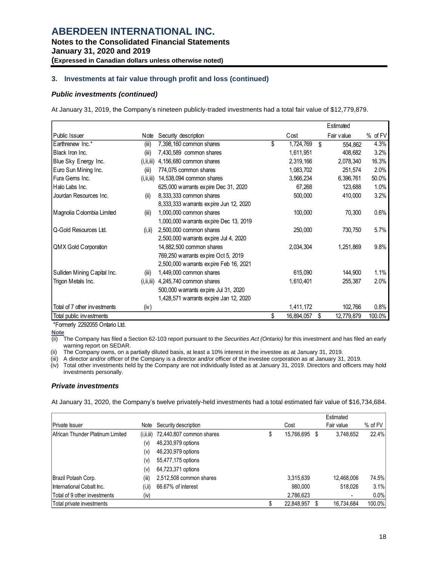## **3. Investments at fair value through profit and loss (continued)**

## *Public investments (continued)*

At January 31, 2019, the Company's nineteen publicly-traded investments had a total fair value of \$12,779,879.

|                              |              |                                        |                  | Estimated        |         |
|------------------------------|--------------|----------------------------------------|------------------|------------------|---------|
| Public Issuer                | Note         | Security description                   | Cost             | Fair value       | % of FV |
| Earthrenew Inc.*             | (iii)        | 7,398,160 common shares                | \$<br>1,724,769  | \$<br>554,862    | 4.3%    |
| Black Iron Inc.              | (iii)        | 7,430,589 common shares                | 1,611,951        | 408,682          | 3.2%    |
| Blue Sky Energy Inc.         | (i, ii, iii) | 4,156,680 common shares                | 2,319,166        | 2,078,340        | 16.3%   |
| Euro Sun Mining Inc.         | (iii)        | 774,075 common shares                  | 1,083,702        | 251,574          | $2.0\%$ |
| Fura Gems Inc.               | (i, ii, iii) | 14,538,094 common shares               | 3,566,234        | 6,396,761        | 50.0%   |
| Halo Labs Inc.               |              | 625,000 warrants expire Dec 31, 2020   | 67,268           | 123,688          | $1.0\%$ |
| Jourdan Resources Inc.       | (ii)         | 8,333,333 common shares                | 500,000          | 410,000          | 3.2%    |
|                              |              | 8,333,333 warrants expire Jun 12, 2020 |                  |                  |         |
| Magnolia Colombia Limited    | (iii)        | 1,000,000 common shares                | 100,000          | 70,300           | 0.6%    |
|                              |              | 1,000,000 warrants expire Dec 13, 2019 |                  |                  |         |
| Q-Gold Resources Ltd.        | (i, ii)      | 2,500,000 common shares                | 250,000          | 730,750          | $5.7\%$ |
|                              |              | 2,500,000 warrants expire Jul 4, 2020  |                  |                  |         |
| <b>QMX Gold Corporation</b>  |              | 14,882,500 common shares               | 2,034,304        | 1,251,869        | 9.8%    |
|                              |              | 769,250 warrants expire Oct 5, 2019    |                  |                  |         |
|                              |              | 2,500,000 warrants expire Feb 16, 2021 |                  |                  |         |
| Sulliden Mining Capital Inc. | (iii)        | 1,449,000 common shares                | 615,090          | 144,900          | 1.1%    |
| Trigon Metals Inc.           | (i, ii, iii) | 4,245,740 common shares                | 1,610,401        | 255,387          | $2.0\%$ |
|                              |              | 500,000 warrants expire Jul 31, 2020   |                  |                  |         |
|                              |              | 1,428,571 warrants expire Jan 12, 2020 |                  |                  |         |
| Total of 7 other investments | (iv)         |                                        | 1,411,172        | 102,766          | 0.8%    |
| Total public investments     |              |                                        | \$<br>16,894,057 | \$<br>12,779,879 | 100.0%  |

\*Formerly 2292055 Ontario Ltd.

**Note**

(ii) The Company has filed a Section 62-103 report pursuant to the *Securities Act (Ontario)* for this investment and has filed an early warning report on SEDAR.

(ii) The Company owns, on a partially diluted basis, at least a 10% interest in the investee as at January 31, 2019.

(iii) A director and/or officer of the Company is a director and/or officer of the investee corporation as at January 31, 2019.

(iv) Total other investments held by the Company are not individually listed as at January 31, 2019. Directors and officers may hold investments personally.

## *Private investments*

At January 31, 2020, the Company's twelve privately-held investments had a total estimated fair value of \$16,734,684.

|                                  |            |                          |   |            |   | Estimated  |         |
|----------------------------------|------------|--------------------------|---|------------|---|------------|---------|
| Private Issuer                   | Note       | Security description     |   | Cost       |   | Fair value | % of FV |
| African Thunder Platinum Limited | (i,ii,iii) | 72,440,807 common shares | S | 15,766,695 | S | 3.748.652  | 22.4%   |
|                                  | (v)        | 46,230,979 options       |   |            |   |            |         |
|                                  | (v)        | 46,230,979 options       |   |            |   |            |         |
|                                  | (v)        | 55,477,175 options       |   |            |   |            |         |
|                                  | (v)        | 64,723,371 options       |   |            |   |            |         |
| Brazil Potash Corp.              | (iii)      | 2,512,508 common shares  |   | 3,315,639  |   | 12.468.006 | 74.5%   |
| International Cobalt Inc.        | (i,ii)     | 66.67% of interest       |   | 980.000    |   | 518.026    | 3.1%    |
| Total of 9 other investments     | (iv)       |                          |   | 2,786,623  |   |            | 0.0%    |
| Total private investments        |            |                          |   | 22,848,957 |   | 16,734,684 | 100.0%  |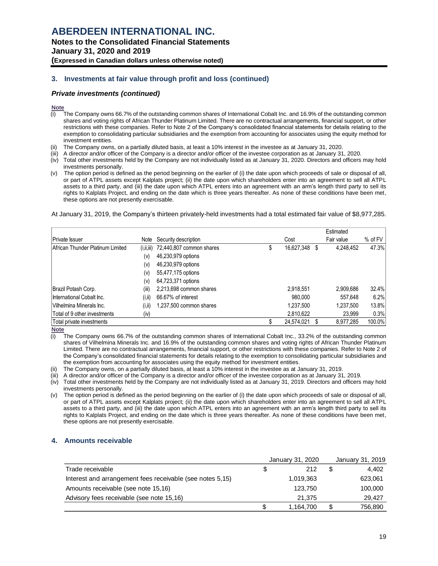## **Notes to the Consolidated Financial Statements**

**January 31, 2020 and 2019**

**(Expressed in Canadian dollars unless otherwise noted)**

## **3. Investments at fair value through profit and loss (continued)**

## *Private investments (continued)*

**Note**

- $(i)$  The Company owns 66.7% of the outstanding common shares of International Cobalt Inc. and 16.9% of the outstanding common shares and voting rights of African Thunder Platinum Limited. There are no contractual arrangements, financial support, or other restrictions with these companies. Refer to Note 2 of the Company's consolidated financial statements for details relating to the exemption to consolidating particular subsidiaries and the exemption from accounting for associates using the equity method for investment entities.
- The Company owns, on a partially diluted basis, at least a 10% interest in the investee as at January 31, 2020.
- (iii) A director and/or officer of the Company is a director and/or officer of the investee corporation as at January 31, 2020.
- (iv) Total other investments held by the Company are not individually listed as at January 31, 2020. Directors and officers may hold investments personally.
- (v) The option period is defined as the period beginning on the earlier of (i) the date upon which proceeds of sale or disposal of all, or part of ATPL assets except Kalplats project; (ii) the date upon which shareholders enter into an agreement to sell all ATPL assets to a third party, and (iii) the date upon which ATPL enters into an agreement with an arm's length third party to sell its rights to Kalplats Project, and ending on the date which is three years thereafter. As none of these conditions have been met, these options are not presently exercisable.

At January 31, 2019, the Company's thirteen privately-held investments had a total estimated fair value of \$8,977,285.

|                                  |              |                          |   |            |   | Estimated  |         |
|----------------------------------|--------------|--------------------------|---|------------|---|------------|---------|
| Private Issuer                   | Note         | Security description     |   | Cost       |   | Fair value | % of FV |
| African Thunder Platinum Limited | (i, ii, iii) | 72,440,807 common shares | S | 16,627,348 | S | 4.248.452  | 47.3%   |
|                                  | (v)          | 46,230,979 options       |   |            |   |            |         |
|                                  | (v)          | 46,230,979 options       |   |            |   |            |         |
|                                  | (v)          | 55,477,175 options       |   |            |   |            |         |
|                                  | (v)          | 64,723,371 options       |   |            |   |            |         |
| Brazil Potash Corp.              | (iii)        | 2,213,698 common shares  |   | 2,918,551  |   | 2,909,686  | 32.4%   |
| International Cobalt Inc.        | (i,ii)       | 66.67% of interest       |   | 980.000    |   | 557,648    | 6.2%    |
| Vilhelmina Minerals Inc.         | (i,ii)       | 1,237,500 common shares  |   | 1,237,500  |   | 1,237,500  | 13.8%   |
| Total of 9 other investments     | (iv)         |                          |   | 2,810,622  |   | 23,999     | 0.3%    |
| Total private investments        |              |                          |   | 24.574.021 |   | 8.977.285  | 100.0%  |

**Note**

 $(i)$  The Company owns 66.7% of the outstanding common shares of International Cobalt Inc., 33.2% of the outstanding common shares of Vilhelmina Minerals Inc. and 16.9% of the outstanding common shares and voting rights of African Thunder Platinum Limited. There are no contractual arrangements, financial support, or other restrictions with these companies. Refer to Note 2 of the Company's consolidated financial statements for details relating to the exemption to consolidating particular subsidiaries and the exemption from accounting for associates using the equity method for investment entities.

(ii) The Company owns, on a partially diluted basis, at least a 10% interest in the investee as at January 31, 2019.

(iii) A director and/or officer of the Company is a director and/or officer of the investee corporation as at January 31, 2019.

- (iv) Total other investments held by the Company are not individually listed as at January 31, 2019. Directors and officers may hold investments personally.
- (v) The option period is defined as the period beginning on the earlier of (i) the date upon which proceeds of sale or disposal of all, or part of ATPL assets except Kalplats project; (ii) the date upon which shareholders enter into an agreement to sell all ATPL assets to a third party, and (iii) the date upon which ATPL enters into an agreement with an arm's length third party to sell its rights to Kalplats Project, and ending on the date which is three years thereafter. As none of these conditions have been met, these options are not presently exercisable.

## **4. Amounts receivable**

|                                                           |     | January 31, 2020 | January 31, 2019 |
|-----------------------------------------------------------|-----|------------------|------------------|
| Trade receivable                                          | \$  | 212              | \$<br>4.402      |
| Interest and arrangement fees receivable (see notes 5.15) |     | 1,019,363        | 623,061          |
| Amounts receivable (see note 15,16)                       |     | 123,750          | 100,000          |
| Advisory fees receivable (see note 15,16)                 |     | 21.375           | 29.427           |
|                                                           | SS. | 1.164.700        | \$<br>756,890    |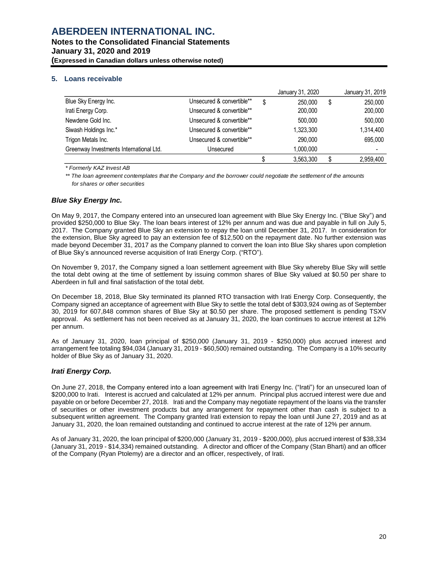## **5. Loans receivable**

|                                         |                           |   | January 31, 2020 |   | January 31, 2019 |
|-----------------------------------------|---------------------------|---|------------------|---|------------------|
| Blue Sky Energy Inc.                    | Unsecured & convertible** | S | 250.000          | S | 250,000          |
| Irati Energy Corp.                      | Unsecured & convertible** |   | 200,000          |   | 200,000          |
| Newdene Gold Inc.                       | Unsecured & convertible** |   | 500.000          |   | 500.000          |
| Siwash Holdings Inc.*                   | Unsecured & convertible** |   | 1,323,300        |   | 1,314,400        |
| Trigon Metals Inc.                      | Unsecured & convertible** |   | 290,000          |   | 695,000          |
| Greenway Investments International Ltd. | Unsecured                 |   | 1.000.000        |   |                  |
|                                         |                           | S | 3,563,300        |   | 2.959.400        |

*\* Formerly KAZ Invest AB*

 *for shares or other securities \*\* The loan agreement contemplates that the Company and the borrower could negotiate the settlement of the amounts* 

## *Blue Sky Energy Inc.*

On May 9, 2017, the Company entered into an unsecured loan agreement with Blue Sky Energy Inc. ("Blue Sky") and provided \$250,000 to Blue Sky. The loan bears interest of 12% per annum and was due and payable in full on July 5, 2017. The Company granted Blue Sky an extension to repay the loan until December 31, 2017. In consideration for the extension, Blue Sky agreed to pay an extension fee of \$12,500 on the repayment date. No further extension was made beyond December 31, 2017 as the Company planned to convert the loan into Blue Sky shares upon completion of Blue Sky's announced reverse acquisition of Irati Energy Corp. ("RTO").

On November 9, 2017, the Company signed a loan settlement agreement with Blue Sky whereby Blue Sky will settle the total debt owing at the time of settlement by issuing common shares of Blue Sky valued at \$0.50 per share to Aberdeen in full and final satisfaction of the total debt.

On December 18, 2018, Blue Sky terminated its planned RTO transaction with Irati Energy Corp. Consequently, the Company signed an acceptance of agreement with Blue Sky to settle the total debt of \$303,924 owing as of September 30, 2019 for 607,848 common shares of Blue Sky at \$0.50 per share. The proposed settlement is pending TSXV approval. As settlement has not been received as at January 31, 2020, the loan continues to accrue interest at 12% per annum.

As of January 31, 2020, loan principal of \$250,000 (January 31, 2019 - \$250,000) plus accrued interest and arrangement fee totaling \$94,034 (January 31, 2019 - \$60,500) remained outstanding. The Company is a 10% security holder of Blue Sky as of January 31, 2020.

## *Irati Energy Corp.*

On June 27, 2018, the Company entered into a loan agreement with Irati Energy Inc. ("Irati") for an unsecured loan of \$200,000 to Irati. Interest is accrued and calculated at 12% per annum. Principal plus accrued interest were due and payable on or before December 27, 2018. Irati and the Company may negotiate repayment of the loans via the transfer of securities or other investment products but any arrangement for repayment other than cash is subject to a subsequent written agreement. The Company granted Irati extension to repay the loan until June 27, 2019 and as at January 31, 2020, the loan remained outstanding and continued to accrue interest at the rate of 12% per annum.

As of January 31, 2020, the loan principal of \$200,000 (January 31, 2019 - \$200,000), plus accrued interest of \$38,334 (January 31, 2019 - \$14,334) remained outstanding. A director and officer of the Company (Stan Bharti) and an officer of the Company (Ryan Ptolemy) are a director and an officer, respectively, of Irati.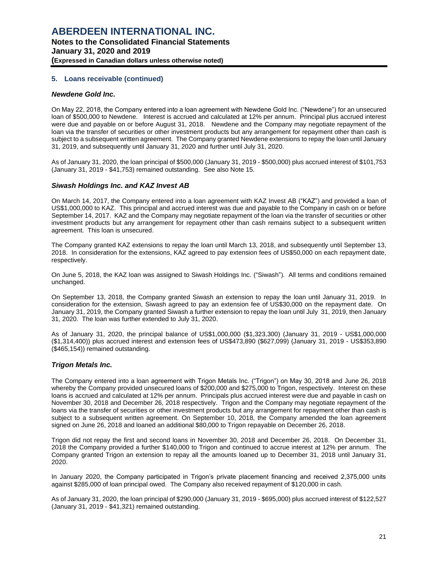## **5. Loans receivable (continued)**

## *Newdene Gold Inc.*

On May 22, 2018, the Company entered into a loan agreement with Newdene Gold Inc. ("Newdene") for an unsecured loan of \$500,000 to Newdene. Interest is accrued and calculated at 12% per annum. Principal plus accrued interest were due and payable on or before August 31, 2018. Newdene and the Company may negotiate repayment of the loan via the transfer of securities or other investment products but any arrangement for repayment other than cash is subject to a subsequent written agreement. The Company granted Newdene extensions to repay the loan until January 31, 2019, and subsequently until January 31, 2020 and further until July 31, 2020.

As of January 31, 2020, the loan principal of \$500,000 (January 31, 2019 - \$500,000) plus accrued interest of \$101,753 (January 31, 2019 - \$41,753) remained outstanding. See also Note 15.

## *Siwash Holdings Inc. and KAZ Invest AB*

On March 14, 2017, the Company entered into a loan agreement with KAZ Invest AB ("KAZ") and provided a loan of US\$1,000,000 to KAZ. This principal and accrued interest was due and payable to the Company in cash on or before September 14, 2017. KAZ and the Company may negotiate repayment of the loan via the transfer of securities or other investment products but any arrangement for repayment other than cash remains subject to a subsequent written agreement. This loan is unsecured.

The Company granted KAZ extensions to repay the loan until March 13, 2018, and subsequently until September 13, 2018. In consideration for the extensions, KAZ agreed to pay extension fees of US\$50,000 on each repayment date, respectively.

On June 5, 2018, the KAZ loan was assigned to Siwash Holdings Inc. ("Siwash"). All terms and conditions remained unchanged.

On September 13, 2018, the Company granted Siwash an extension to repay the loan until January 31, 2019. In consideration for the extension, Siwash agreed to pay an extension fee of US\$30,000 on the repayment date. On January 31, 2019, the Company granted Siwash a further extension to repay the loan until July 31, 2019, then January 31, 2020. The loan was further extended to July 31, 2020.

As of January 31, 2020, the principal balance of US\$1,000,000 (\$1,323,300) (January 31, 2019 - US\$1,000,000 (\$1,314,400)) plus accrued interest and extension fees of US\$473,890 (\$627,099) (January 31, 2019 - US\$353,890 (\$465,154)) remained outstanding.

## *Trigon Metals Inc.*

The Company entered into a loan agreement with Trigon Metals Inc. ("Trigon") on May 30, 2018 and June 26, 2018 whereby the Company provided unsecured loans of \$200,000 and \$275,000 to Trigon, respectively. Interest on these loans is accrued and calculated at 12% per annum. Principals plus accrued interest were due and payable in cash on November 30, 2018 and December 26, 2018 respectively. Trigon and the Company may negotiate repayment of the loans via the transfer of securities or other investment products but any arrangement for repayment other than cash is subject to a subsequent written agreement. On September 10, 2018, the Company amended the loan agreement signed on June 26, 2018 and loaned an additional \$80,000 to Trigon repayable on December 26, 2018.

Trigon did not repay the first and second loans in November 30, 2018 and December 26, 2018. On December 31, 2018 the Company provided a further \$140,000 to Trigon and continued to accrue interest at 12% per annum. The Company granted Trigon an extension to repay all the amounts loaned up to December 31, 2018 until January 31, 2020.

In January 2020, the Company participated in Trigon's private placement financing and received 2,375,000 units against \$285,000 of loan principal owed. The Company also received repayment of \$120,000 in cash.

As of January 31, 2020, the loan principal of \$290,000 (January 31, 2019 - \$695,000) plus accrued interest of \$122,527 (January 31, 2019 - \$41,321) remained outstanding.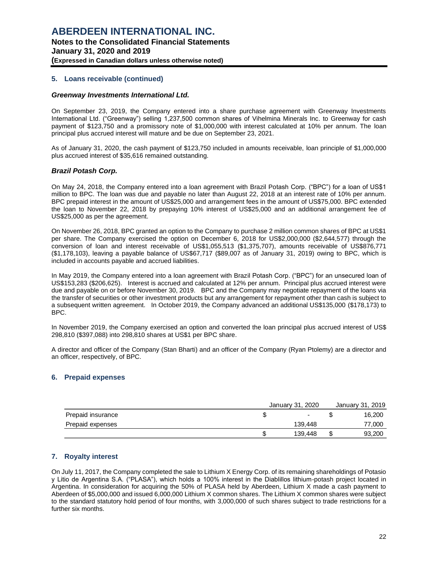## **ABERDEEN INTERNATIONAL INC. Notes to the Consolidated Financial Statements January 31, 2020 and 2019 (Expressed in Canadian dollars unless otherwise noted)**

## **5. Loans receivable (continued)**

## *Greenway Investments International Ltd.*

On September 23, 2019, the Company entered into a share purchase agreement with Greenway Investments International Ltd. ("Greenway") selling 1,237,500 common shares of Vihelmina Minerals Inc. to Greenway for cash payment of \$123,750 and a promissory note of \$1,000,000 with interest calculated at 10% per annum. The loan principal plus accrued interest will mature and be due on September 23, 2021.

As of January 31, 2020, the cash payment of \$123,750 included in amounts receivable, loan principle of \$1,000,000 plus accrued interest of \$35,616 remained outstanding.

## *Brazil Potash Corp.*

On May 24, 2018, the Company entered into a loan agreement with Brazil Potash Corp. ("BPC") for a loan of US\$1 million to BPC. The loan was due and payable no later than August 22, 2018 at an interest rate of 10% per annum. BPC prepaid interest in the amount of US\$25,000 and arrangement fees in the amount of US\$75,000. BPC extended the loan to November 22, 2018 by prepaying 10% interest of US\$25,000 and an additional arrangement fee of US\$25,000 as per the agreement.

On November 26, 2018, BPC granted an option to the Company to purchase 2 million common shares of BPC at US\$1 per share. The Company exercised the option on December 6, 2018 for US\$2,000,000 (\$2,644,577) through the conversion of loan and interest receivable of US\$1,055,513 (\$1,375,707), amounts receivable of US\$876,771 (\$1,178,103), leaving a payable balance of US\$67,717 (\$89,007 as of January 31, 2019) owing to BPC, which is included in accounts payable and accrued liabilities.

In May 2019, the Company entered into a loan agreement with Brazil Potash Corp. ("BPC") for an unsecured loan of US\$153,283 (\$206,625). Interest is accrued and calculated at 12% per annum. Principal plus accrued interest were due and payable on or before November 30, 2019. BPC and the Company may negotiate repayment of the loans via the transfer of securities or other investment products but any arrangement for repayment other than cash is subject to a subsequent written agreement. In October 2019, the Company advanced an additional US\$135,000 (\$178,173) to BPC.

In November 2019, the Company exercised an option and converted the loan principal plus accrued interest of US\$ 298,810 (\$397,088) into 298,810 shares at US\$1 per BPC share.

A director and officer of the Company (Stan Bharti) and an officer of the Company (Ryan Ptolemy) are a director and an officer, respectively, of BPC.

## **6. Prepaid expenses**

|                   | January 31, 2020 |                          |  | January 31, 2019 |
|-------------------|------------------|--------------------------|--|------------------|
| Prepaid insurance | S                | $\overline{\phantom{0}}$ |  | 16.200           |
| Prepaid expenses  |                  | 139.448                  |  | 77,000           |
|                   | S                | 139.448                  |  | 93,200           |

## **7. Royalty interest**

On July 11, 2017, the Company completed the sale to Lithium X Energy Corp. of its remaining shareholdings of Potasio y Litio de Argentina S.A. ("PLASA"), which holds a 100% interest in the Diablillos lithium-potash project located in Argentina. In consideration for acquiring the 50% of PLASA held by Aberdeen, Lithium X made a cash payment to Aberdeen of \$5,000,000 and issued 6,000,000 Lithium X common shares. The Lithium X common shares were subject to the standard statutory hold period of four months, with 3,000,000 of such shares subject to trade restrictions for a further six months.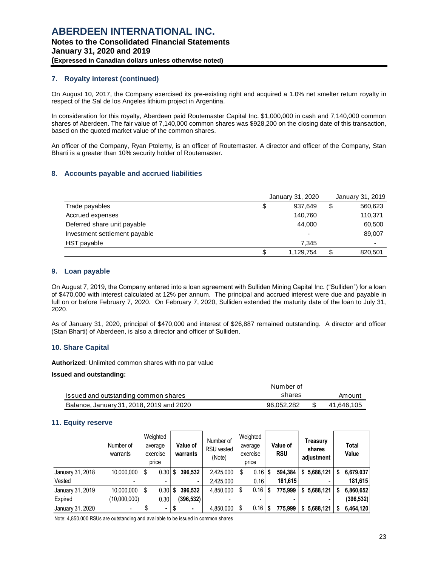## **7. Royalty interest (continued)**

On August 10, 2017, the Company exercised its pre-existing right and acquired a 1.0% net smelter return royalty in respect of the Sal de los Angeles lithium project in Argentina.

In consideration for this royalty, Aberdeen paid Routemaster Capital Inc. \$1,000,000 in cash and 7,140,000 common shares of Aberdeen. The fair value of 7,140,000 common shares was \$928,200 on the closing date of this transaction, based on the quoted market value of the common shares.

An officer of the Company, Ryan Ptolemy, is an officer of Routemaster. A director and officer of the Company, Stan Bharti is a greater than 10% security holder of Routemaster.

## **8. Accounts payable and accrued liabilities**

|                               | January 31, 2020 |                          |    | January 31, 2019 |
|-------------------------------|------------------|--------------------------|----|------------------|
| Trade payables                | \$               | 937.649                  | \$ | 560,623          |
| Accrued expenses              |                  | 140,760                  |    | 110,371          |
| Deferred share unit payable   |                  | 44.000                   |    | 60,500           |
| Investment settlement payable |                  | $\overline{\phantom{a}}$ |    | 89,007           |
| HST payable                   |                  | 7.345                    |    |                  |
|                               | S                | 1,129,754                | \$ | 820,501          |

## **9. Loan payable**

On August 7, 2019, the Company entered into a loan agreement with Sulliden Mining Capital Inc. ("Sulliden") for a loan of \$470,000 with interest calculated at 12% per annum. The principal and accrued interest were due and payable in full on or before February 7, 2020. On February 7, 2020, Sulliden extended the maturity date of the loan to July 31, 2020.

As of January 31, 2020, principal of \$470,000 and interest of \$26,887 remained outstanding. A director and officer (Stan Bharti) of Aberdeen, is also a director and officer of Sulliden.

## **10. Share Capital**

**Authorized**: Unlimited common shares with no par value

#### **Issued and outstanding:**

|                                          | Number of  |            |
|------------------------------------------|------------|------------|
| Issued and outstanding common shares     | shares     | Amount     |
| Balance, January 31, 2018, 2019 and 2020 | 96.052.282 | 41.646.105 |

## **11. Equity reserve**

|                  | Number of<br>warrants | Weighted<br>average<br>exercise<br>price |                | Value of<br>warrants | Number of<br><b>RSU</b> vested<br>(Note) | Weighted<br>average<br>exercise<br>price |           | Value of<br><b>RSU</b> |         | Treasurv<br>shares<br>adjustment |   | Total<br>Value |
|------------------|-----------------------|------------------------------------------|----------------|----------------------|------------------------------------------|------------------------------------------|-----------|------------------------|---------|----------------------------------|---|----------------|
| January 31, 2018 | 10.000.000            | \$                                       | $0.30$ \$      | 396.532              | 2,425,000                                | \$                                       | $0.16$ \$ |                        | 594.384 | \$5,688,121                      | S | 6,679,037      |
| Vested           |                       |                                          | $\blacksquare$ | ٠                    | 2.425.000                                |                                          | 0.16      |                        | 181.615 | -                                |   | 181,615        |
| January 31, 2019 | 10.000.000            | S                                        | $0.30$ \$      | 396.532              | 4.850.000                                | \$                                       | 0.16      | S                      | 775.999 | \$5.688.121                      | S | 6,860,652      |
| Expired          | (10,000,000)          |                                          | 0.30           | (396,532)            |                                          |                                          |           |                        |         |                                  |   | (396, 532)     |
| January 31, 2020 | $\blacksquare$        |                                          | ٠              |                      | 4.850.000                                | \$.                                      | 0.16      | -S                     | 775.999 | \$5,688,121                      | S | 6,464,120      |

Note: 4,850,000 RSUs are outstanding and available to be issued in common shares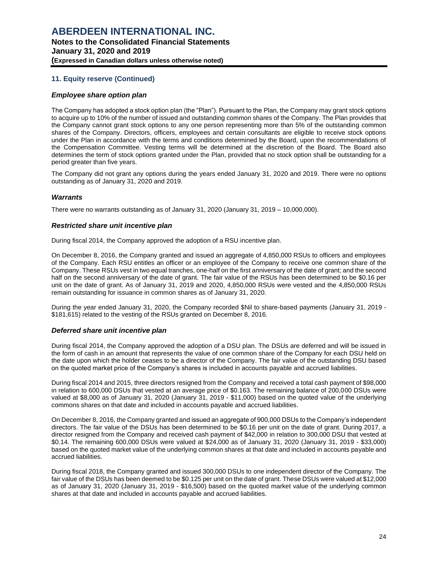## **11. Equity reserve (Continued)**

## *Employee share option plan*

The Company has adopted a stock option plan (the "Plan"). Pursuant to the Plan, the Company may grant stock options to acquire up to 10% of the number of issued and outstanding common shares of the Company. The Plan provides that the Company cannot grant stock options to any one person representing more than 5% of the outstanding common shares of the Company. Directors, officers, employees and certain consultants are eligible to receive stock options under the Plan in accordance with the terms and conditions determined by the Board, upon the recommendations of the Compensation Committee. Vesting terms will be determined at the discretion of the Board. The Board also determines the term of stock options granted under the Plan, provided that no stock option shall be outstanding for a period greater than five years.

The Company did not grant any options during the years ended January 31, 2020 and 2019. There were no options outstanding as of January 31, 2020 and 2019.

## *Warrants*

There were no warrants outstanding as of January 31, 2020 (January 31, 2019 – 10,000,000).

## *Restricted share unit incentive plan*

During fiscal 2014, the Company approved the adoption of a RSU incentive plan.

On December 8, 2016, the Company granted and issued an aggregate of 4,850,000 RSUs to officers and employees of the Company. Each RSU entitles an officer or an employee of the Company to receive one common share of the Company. These RSUs vest in two equal tranches, one-half on the first anniversary of the date of grant; and the second half on the second anniversary of the date of grant. The fair value of the RSUs has been determined to be \$0.16 per unit on the date of grant. As of January 31, 2019 and 2020, 4,850,000 RSUs were vested and the 4,850,000 RSUs remain outstanding for issuance in common shares as of January 31, 2020.

During the year ended January 31, 2020, the Company recorded \$Nil to share-based payments (January 31, 2019 - \$181,615) related to the vesting of the RSUs granted on December 8, 2016.

## *Deferred share unit incentive plan*

During fiscal 2014, the Company approved the adoption of a DSU plan. The DSUs are deferred and will be issued in the form of cash in an amount that represents the value of one common share of the Company for each DSU held on the date upon which the holder ceases to be a director of the Company. The fair value of the outstanding DSU based on the quoted market price of the Company's shares is included in accounts payable and accrued liabilities.

During fiscal 2014 and 2015, three directors resigned from the Company and received a total cash payment of \$98,000 in relation to 600,000 DSUs that vested at an average price of \$0.163. The remaining balance of 200,000 DSUs were valued at \$8,000 as of January 31, 2020 (January 31, 2019 - \$11,000) based on the quoted value of the underlying commons shares on that date and included in accounts payable and accrued liabilities.

On December 8, 2016, the Company granted and issued an aggregate of 900,000 DSUs to the Company's independent directors. The fair value of the DSUs has been determined to be \$0.16 per unit on the date of grant. During 2017, a director resigned from the Company and received cash payment of \$42,000 in relation to 300,000 DSU that vested at \$0.14. The remaining 600,000 DSUs were valued at \$24,000 as of January 31, 2020 (January 31, 2019 - \$33,000) based on the quoted market value of the underlying common shares at that date and included in accounts payable and accrued liabilities.

During fiscal 2018, the Company granted and issued 300,000 DSUs to one independent director of the Company. The fair value of the DSUs has been deemed to be \$0.125 per unit on the date of grant. These DSUs were valued at \$12,000 as of January 31, 2020 (January 31, 2019 - \$16,500) based on the quoted market value of the underlying common shares at that date and included in accounts payable and accrued liabilities.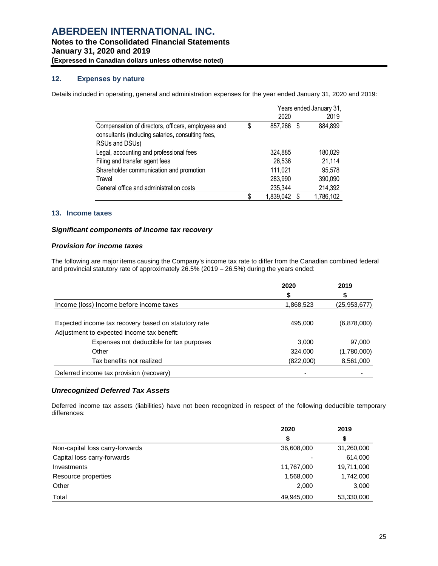## **ABERDEEN INTERNATIONAL INC. Notes to the Consolidated Financial Statements January 31, 2020 and 2019 (Expressed in Canadian dollars unless otherwise noted)**

## **12. Expenses by nature**

Details included in operating, general and administration expenses for the year ended January 31, 2020 and 2019:

|                                                    | Years ended January 31, |   |           |  |  |
|----------------------------------------------------|-------------------------|---|-----------|--|--|
|                                                    | 2020                    |   | 2019      |  |  |
| Compensation of directors, officers, employees and | \$<br>857,266           | S | 884,899   |  |  |
| consultants (including salaries, consulting fees,  |                         |   |           |  |  |
| RSUs and DSUs)                                     |                         |   |           |  |  |
| Legal, accounting and professional fees            | 324,885                 |   | 180,029   |  |  |
| Filing and transfer agent fees                     | 26,536                  |   | 21,114    |  |  |
| Shareholder communication and promotion            | 111,021                 |   | 95,578    |  |  |
| Travel                                             | 283,990                 |   | 390,090   |  |  |
| General office and administration costs            | 235,344                 |   | 214,392   |  |  |
|                                                    | \$<br>1,839,042         | S | 1,786,102 |  |  |

## **13. Income taxes**

## *Significant components of income tax recovery*

## *Provision for income taxes*

The following are major items causing the Company's income tax rate to differ from the Canadian combined federal and provincial statutory rate of approximately 26.5% (2019 – 26.5%) during the years ended:

|                                                      | 2020      | 2019         |
|------------------------------------------------------|-----------|--------------|
|                                                      | \$        | \$           |
| Income (loss) Income before income taxes             | 1,868,523 | (25,953,677) |
|                                                      |           |              |
| Expected income tax recovery based on statutory rate | 495,000   | (6,878,000)  |
| Adjustment to expected income tax benefit:           |           |              |
| Expenses not deductible for tax purposes             | 3,000     | 97,000       |
| Other                                                | 324,000   | (1,780,000)  |
| Tax benefits not realized                            | (822,000) | 8,561,000    |
| Deferred income tax provision (recovery)             |           |              |

## *Unrecognized Deferred Tax Assets*

Deferred income tax assets (liabilities) have not been recognized in respect of the following deductible temporary differences:

|                                 | 2020                     | 2019       |
|---------------------------------|--------------------------|------------|
|                                 | S                        | \$         |
| Non-capital loss carry-forwards | 36,608,000               | 31,260,000 |
| Capital loss carry-forwards     | $\overline{\phantom{0}}$ | 614,000    |
| Investments                     | 11,767,000               | 19,711,000 |
| Resource properties             | 1,568,000                | 1,742,000  |
| Other                           | 2,000                    | 3,000      |
| Total                           | 49,945,000               | 53,330,000 |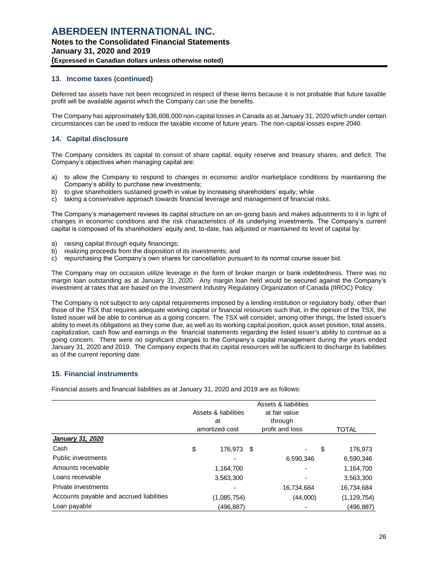## **13. Income taxes (continued)**

Deferred tax assets have not been recognized in respect of these items because it is not probable that future taxable profit will be available against which the Company can use the benefits.

The Company has approximately \$36,608,000 non-capital losses in Canada as at January 31, 2020 which under certain circumstances can be used to reduce the taxable income of future years. The non-capital losses expire 2040.

## **14. Capital disclosure**

The Company considers its capital to consist of share capital, equity reserve and treasury shares, and deficit. The Company's objectives when managing capital are:

- a) to allow the Company to respond to changes in economic and/or marketplace conditions by maintaining the Company's ability to purchase new investments;
- b) to give shareholders sustained growth in value by increasing shareholders' equity; while
- c) taking a conservative approach towards financial leverage and management of financial risks.

The Company's management reviews its capital structure on an on-going basis and makes adjustments to it in light of changes in economic conditions and the risk characteristics of its underlying investments. The Company's current capital is composed of its shareholders' equity and, to-date, has adjusted or maintained its level of capital by:

- a) raising capital through equity financings;
- b) realizing proceeds from the disposition of its investments; and
- c) repurchasing the Company's own shares for cancellation pursuant to its normal course issuer bid.

The Company may on occasion utilize leverage in the form of broker margin or bank indebtedness. There was no margin loan outstanding as at January 31, 2020. Any margin loan held would be secured against the Company's investment at rates that are based on the Investment Industry Regulatory Organization of Canada (IIROC) Policy.

The Company is not subject to any capital requirements imposed by a lending institution or regulatory body, other than those of the TSX that requires adequate working capital or financial resources such that, in the opinion of the TSX, the listed issuer will be able to continue as a going concern. The TSX will consider, among other things, the listed issuer's ability to meet its obligations as they come due, as well as its working capital position, quick asset position, total assets, capitalization, cash flow and earnings in the financial statements regarding the listed issuer's ability to continue as a going concern. There were no significant changes to the Company's capital management during the years ended January 31, 2020 and 2019. The Company expects that its capital resources will be sufficient to discharge its liabilities as of the current reporting date.

## **15. Financial instruments**

Financial assets and financial liabilities as at January 31, 2020 and 2019 are as follows:

|                                          | Assets & liabilities<br>at<br>amortized cost | Assets & liabilities<br>at fair value<br>through<br>profit and loss | TOTAL         |
|------------------------------------------|----------------------------------------------|---------------------------------------------------------------------|---------------|
| <b>January 31, 2020</b>                  |                                              |                                                                     |               |
| Cash                                     | \$<br>176,973 \$                             | ۰                                                                   | \$<br>176,973 |
| Public investments                       |                                              | 6,590,346                                                           | 6,590,346     |
| Amounts receivable                       | 1,164,700                                    |                                                                     | 1,164,700     |
| Loans receivable                         | 3,563,300                                    |                                                                     | 3,563,300     |
| Private investments                      |                                              | 16,734,684                                                          | 16,734,684    |
| Accounts payable and accrued liabilities | (1,085,754)                                  | (44,000)                                                            | (1, 129, 754) |
| Loan payable                             | (496,887)                                    | -                                                                   | (496,887)     |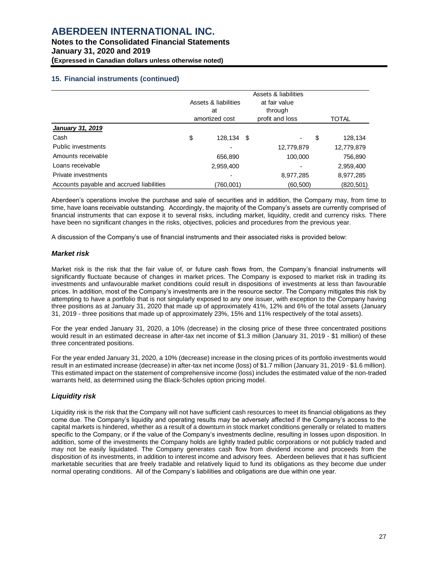## **15. Financial instruments (continued)**

|                                          | Assets & liabilities<br>at<br>amortized cost |      | Assets & liabilities<br>at fair value<br>through<br>profit and loss | <b>TOTAL</b>  |
|------------------------------------------|----------------------------------------------|------|---------------------------------------------------------------------|---------------|
| <b>January 31, 2019</b>                  |                                              |      |                                                                     |               |
| Cash                                     | \$<br>128.134                                | - \$ | ٠                                                                   | \$<br>128,134 |
| Public investments                       |                                              |      | 12,779,879                                                          | 12,779,879    |
| Amounts receivable                       | 656,890                                      |      | 100,000                                                             | 756,890       |
| Loans receivable                         | 2,959,400                                    |      |                                                                     | 2,959,400     |
| Private investments                      |                                              |      | 8,977,285                                                           | 8,977,285     |
| Accounts payable and accrued liabilities | (760,001)                                    |      | (60,500)                                                            | (820,501)     |

Aberdeen's operations involve the purchase and sale of securities and in addition, the Company may, from time to time, have loans receivable outstanding. Accordingly, the majority of the Company's assets are currently comprised of financial instruments that can expose it to several risks, including market, liquidity, credit and currency risks. There have been no significant changes in the risks, objectives, policies and procedures from the previous year.

A discussion of the Company's use of financial instruments and their associated risks is provided below:

## *Market risk*

Market risk is the risk that the fair value of, or future cash flows from, the Company's financial instruments will significantly fluctuate because of changes in market prices. The Company is exposed to market risk in trading its investments and unfavourable market conditions could result in dispositions of investments at less than favourable prices. In addition, most of the Company's investments are in the resource sector. The Company mitigates this risk by attempting to have a portfolio that is not singularly exposed to any one issuer, with exception to the Company having three positions as at January 31, 2020 that made up of approximately 41%, 12% and 6% of the total assets (January 31, 2019 - three positions that made up of approximately 23%, 15% and 11% respectively of the total assets).

For the year ended January 31, 2020, a 10% (decrease) in the closing price of these three concentrated positions would result in an estimated decrease in after-tax net income of \$1.3 million (January 31, 2019 - \$1 million) of these three concentrated positions.

For the year ended January 31, 2020, a 10% (decrease) increase in the closing prices of its portfolio investments would result in an estimated increase (decrease) in after-tax net income (loss) of \$1.7 million (January 31, 2019 - \$1.6 million). This estimated impact on the statement of comprehensive income (loss) includes the estimated value of the non-traded warrants held, as determined using the Black-Scholes option pricing model.

## *Liquidity risk*

Liquidity risk is the risk that the Company will not have sufficient cash resources to meet its financial obligations as they come due. The Company's liquidity and operating results may be adversely affected if the Company's access to the capital markets is hindered, whether as a result of a downturn in stock market conditions generally or related to matters specific to the Company, or if the value of the Company's investments decline, resulting in losses upon disposition. In addition, some of the investments the Company holds are lightly traded public corporations or not publicly traded and may not be easily liquidated. The Company generates cash flow from dividend income and proceeds from the disposition of its investments, in addition to interest income and advisory fees. Aberdeen believes that it has sufficient marketable securities that are freely tradable and relatively liquid to fund its obligations as they become due under normal operating conditions. All of the Company's liabilities and obligations are due within one year.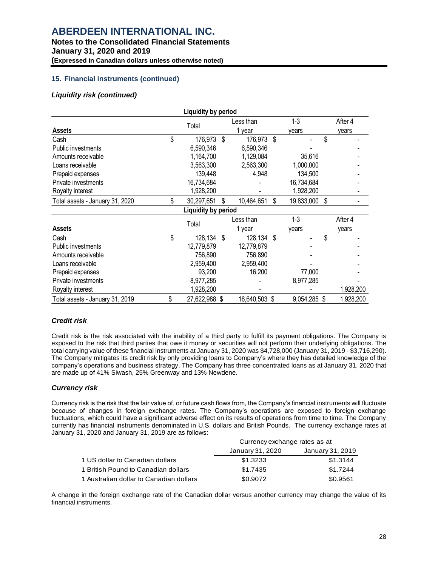## **ABERDEEN INTERNATIONAL INC. Notes to the Consolidated Financial Statements January 31, 2020 and 2019 (Expressed in Canadian dollars unless otherwise noted)**

## **15. Financial instruments (continued)**

## *Liquidity risk (continued)*

|                                 | Liquidity by period |                                         |               |                  |           |
|---------------------------------|---------------------|-----------------------------------------|---------------|------------------|-----------|
|                                 | Total               | $1 - 3$<br>Less than<br>1 year<br>vears |               | After 4          |           |
| <b>Assets</b>                   |                     |                                         |               | years            |           |
| Cash                            | \$<br>176,973       | Ŝ.                                      | 176,973       | \$               | \$        |
| Public investments              | 6,590,346           |                                         | 6,590,346     |                  |           |
| Amounts receivable              | 1,164,700           |                                         | 1,129,084     | 35,616           |           |
| Loans receivable                | 3,563,300           |                                         | 2,563,300     | 1,000,000        |           |
| Prepaid expenses                | 139,448             |                                         | 4,948         | 134,500          |           |
| Private investments             | 16,734,684          |                                         |               | 16,734,684       |           |
| Royalty interest                | 1,928,200           |                                         |               | 1,928,200        |           |
| Total assets - January 31, 2020 | \$<br>30,297,651    | S                                       | 10,464,651    | \$<br>19,833,000 | \$        |
|                                 | Liquidity by period |                                         |               |                  |           |
|                                 | Total               |                                         | Less than     | $1 - 3$          | After 4   |
| <b>Assets</b>                   |                     |                                         | 1 year        | years            | years     |
| Cash                            | \$<br>128,134       | Ŝ.                                      | 128,134       | \$               | \$        |
| Public investments              | 12,779,879          |                                         | 12,779,879    |                  |           |
| Amounts receivable              | 756,890             |                                         | 756,890       |                  |           |
| Loans receivable                | 2,959,400           |                                         | 2,959,400     |                  |           |
| Prepaid expenses                | 93,200              |                                         | 16,200        | 77,000           |           |
| Private investments             | 8,977,285           |                                         |               | 8,977,285        |           |
| Royalty interest                | 1,928,200           |                                         |               |                  | 1,928,200 |
| Total assets - January 31, 2019 | \$<br>27,622,988 \$ |                                         | 16,640,503 \$ | 9,054,285 \$     | 1,928,200 |

## *Credit risk*

Credit risk is the risk associated with the inability of a third party to fulfill its payment obligations. The Company is exposed to the risk that third parties that owe it money or securities will not perform their underlying obligations. The total carrying value of these financial instruments at January 31, 2020 was \$4,728,000 (January 31, 2019 - \$3,716,290). The Company mitigates its credit risk by only providing loans to Company's where they has detailed knowledge of the company's operations and business strategy. The Company has three concentrated loans as at January 31, 2020 that are made up of 41% Siwash, 25% Greenway and 13% Newdene.

## *Currency risk*

Currency risk is the risk that the fair value of, or future cash flows from, the Company's financial instruments will fluctuate because of changes in foreign exchange rates. The Company's operations are exposed to foreign exchange fluctuations, which could have a significant adverse effect on its results of operations from time to time. The Company currently has financial instruments denominated in U.S. dollars and British Pounds. The currency exchange rates at January 31, 2020 and January 31, 2019 are as follows:

|                                         | Currency exchange rates as at |                  |  |  |  |  |
|-----------------------------------------|-------------------------------|------------------|--|--|--|--|
|                                         | January 31, 2020              | January 31, 2019 |  |  |  |  |
| 1 US dollar to Canadian dollars         | \$1.3233                      | \$1.3144         |  |  |  |  |
| 1 British Pound to Canadian dollars     | \$1.7435                      | \$1.7244         |  |  |  |  |
| 1 Australian dollar to Canadian dollars | \$0.9072                      | \$0.9561         |  |  |  |  |

A change in the foreign exchange rate of the Canadian dollar versus another currency may change the value of its financial instruments.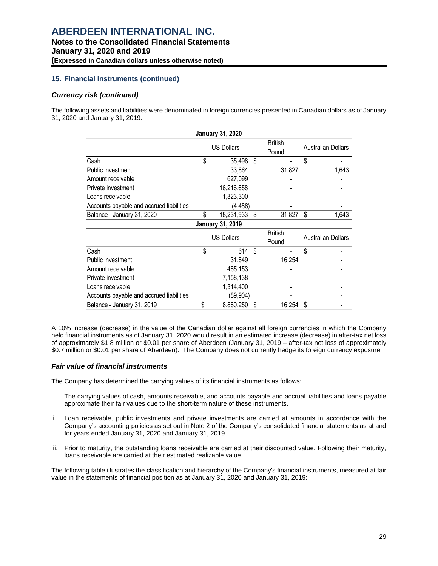## **15. Financial instruments (continued)**

## *Currency risk (continued)*

The following assets and liabilities were denominated in foreign currencies presented in Canadian dollars as of January 31, 2020 and January 31, 2019.

|                                          | <b>January 31, 2020</b> |                         |                           |                           |
|------------------------------------------|-------------------------|-------------------------|---------------------------|---------------------------|
|                                          | <b>US Dollars</b>       | <b>British</b><br>Pound | <b>Australian Dollars</b> |                           |
| Cash                                     | \$<br>35,498            | \$                      | \$                        |                           |
| Public investment                        | 33,864                  | 31,827                  |                           | 1,643                     |
| Amount receivable                        | 627,099                 |                         |                           |                           |
| Private investment                       | 16,216,658              |                         |                           |                           |
| Loans receivable                         | 1,323,300               |                         |                           |                           |
| Accounts payable and accrued liabilities | (4, 486)                |                         |                           |                           |
| Balance - January 31, 2020               | \$<br>18,231,933        | \$<br>31,827            | \$                        | 1,643                     |
|                                          | <b>January 31, 2019</b> |                         |                           |                           |
|                                          | <b>US Dollars</b>       | <b>British</b><br>Pound |                           | <b>Australian Dollars</b> |
| Cash                                     | \$<br>614               | \$                      | \$                        |                           |
| Public investment                        | 31,849                  | 16,254                  |                           |                           |
| Amount receivable                        | 465,153                 |                         |                           |                           |
| Private investment                       | 7,158,138               |                         |                           |                           |
| Loans receivable                         | 1,314,400               |                         |                           |                           |
| Accounts payable and accrued liabilities | (89,904)                |                         |                           |                           |
| Balance - January 31, 2019               | \$<br>8,880,250         | \$<br>16,254            | \$                        |                           |

A 10% increase (decrease) in the value of the Canadian dollar against all foreign currencies in which the Company held financial instruments as of January 31, 2020 would result in an estimated increase (decrease) in after-tax net loss of approximately \$1.8 million or \$0.01 per share of Aberdeen (January 31, 2019 – after-tax net loss of approximately \$0.7 million or \$0.01 per share of Aberdeen). The Company does not currently hedge its foreign currency exposure.

## *Fair value of financial instruments*

The Company has determined the carrying values of its financial instruments as follows:

- i. The carrying values of cash, amounts receivable, and accounts payable and accrual liabilities and loans payable approximate their fair values due to the short-term nature of these instruments.
- ii. Loan receivable, public investments and private investments are carried at amounts in accordance with the Company's accounting policies as set out in Note 2 of the Company's consolidated financial statements as at and for years ended January 31, 2020 and January 31, 2019.
- iii. Prior to maturity, the outstanding loans receivable are carried at their discounted value. Following their maturity, loans receivable are carried at their estimated realizable value.

The following table illustrates the classification and hierarchy of the Company's financial instruments, measured at fair value in the statements of financial position as at January 31, 2020 and January 31, 2019: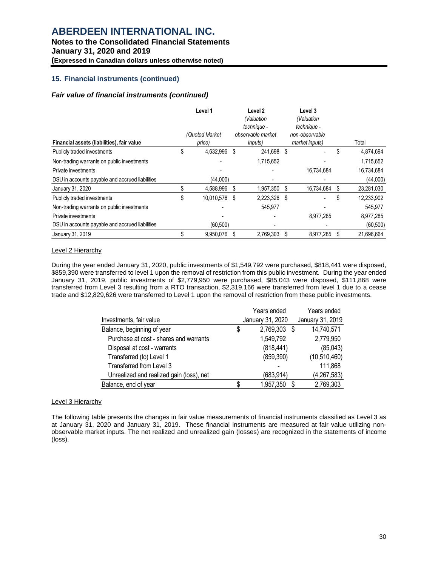## **Notes to the Consolidated Financial Statements January 31, 2020 and 2019**

**(Expressed in Canadian dollars unless otherwise noted)**

## **15. Financial instruments (continued)**

## *Fair value of financial instruments (continued)*

|                                                 |    | Level 1<br>(Quoted Market |      | Level 2<br>(Valuation<br>technique -<br>observable market |      | Level 3<br>(Valuation<br>technique -<br>non-observable |    |            |
|-------------------------------------------------|----|---------------------------|------|-----------------------------------------------------------|------|--------------------------------------------------------|----|------------|
| Financial assets (liabilities), fair value      |    | price)                    |      | <i>lnputs</i> )                                           |      | market inputs)                                         |    | Total      |
| Publicly traded investments                     | C  | 4,632,996 \$              |      | 241,698 \$                                                |      |                                                        | S  | 4,874,694  |
| Non-trading warrants on public investments      |    |                           |      | 1,715,652                                                 |      |                                                        |    | 1,715,652  |
| Private investments                             |    |                           |      |                                                           |      | 16,734,684                                             |    | 16,734,684 |
| DSU in accounts payable and accrued liabilities |    | (44,000)                  |      |                                                           |      |                                                        |    | (44,000)   |
| January 31, 2020                                |    | 4,588,996                 | - \$ | 1,957,350                                                 | - \$ | 16,734,684                                             | S  | 23,281,030 |
| Publicly traded investments                     | æ. | 10,010,576 \$             |      | 2,223,326 \$                                              |      |                                                        | S  | 12,233,902 |
| Non-trading warrants on public investments      |    |                           |      | 545,977                                                   |      |                                                        |    | 545,977    |
| Private investments                             |    |                           |      |                                                           |      | 8.977.285                                              |    | 8,977,285  |
| DSU in accounts payable and accrued liabilities |    | (60, 500)                 |      |                                                           |      |                                                        |    | (60, 500)  |
| January 31, 2019                                |    | 9,950,076                 |      | 2,769,303                                                 | S    | 8,977,285                                              | -S | 21,696,664 |

## Level 2 Hierarchy

During the year ended January 31, 2020, public investments of \$1,549,792 were purchased, \$818,441 were disposed, \$859,390 were transferred to level 1 upon the removal of restriction from this public investment. During the year ended January 31, 2019, public investments of \$2,779,950 were purchased, \$85,043 were disposed, \$111,868 were transferred from Level 3 resulting from a RTO transaction, \$2,319,166 were transferred from level 1 due to a cease trade and \$12,829,626 were transferred to Level 1 upon the removal of restriction from these public investments.

|                                          |    | Years ended      | Years ended      |
|------------------------------------------|----|------------------|------------------|
| Investments, fair value                  |    | January 31, 2020 | January 31, 2019 |
| Balance, beginning of year               | \$ | 2,769,303 \$     | 14,740,571       |
| Purchase at cost - shares and warrants   |    | 1,549,792        | 2,779,950        |
| Disposal at cost - warrants              |    | (818, 441)       | (85,043)         |
| Transferred (to) Level 1                 |    | (859, 390)       | (10,510,460)     |
| Transferred from Level 3                 |    |                  | 111,868          |
| Unrealized and realized gain (loss), net |    | (683, 914)       | (4,267,583)      |
| Balance, end of year                     | S  | 1,957,350        | 2,769,303        |

## Level 3 Hierarchy

The following table presents the changes in fair value measurements of financial instruments classified as Level 3 as at January 31, 2020 and January 31, 2019. These financial instruments are measured at fair value utilizing nonobservable market inputs. The net realized and unrealized gain (losses) are recognized in the statements of income (loss).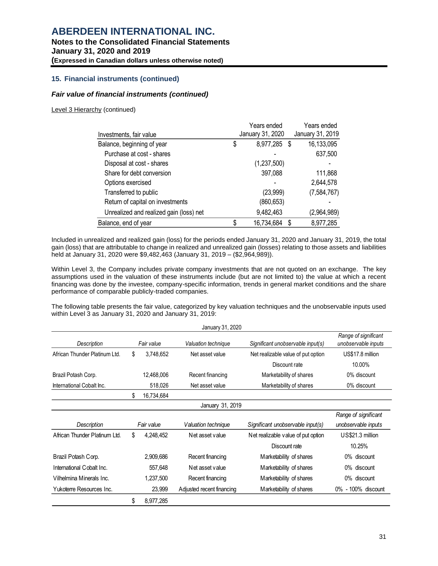## **15. Financial instruments (continued)**

## *Fair value of financial instruments (continued)*

Level 3 Hierarchy (continued)

|                                                                                                                                                                                                                                                                                                                                                                                                                                     | Years ended         | Years ended      |
|-------------------------------------------------------------------------------------------------------------------------------------------------------------------------------------------------------------------------------------------------------------------------------------------------------------------------------------------------------------------------------------------------------------------------------------|---------------------|------------------|
| Investments, fair value                                                                                                                                                                                                                                                                                                                                                                                                             | January 31, 2020    | January 31, 2019 |
| Balance, beginning of year                                                                                                                                                                                                                                                                                                                                                                                                          | \$<br>8,977,285 \$  | 16,133,095       |
| Purchase at cost - shares                                                                                                                                                                                                                                                                                                                                                                                                           |                     | 637,500          |
| Disposal at cost - shares                                                                                                                                                                                                                                                                                                                                                                                                           | (1,237,500)         |                  |
| Share for debt conversion                                                                                                                                                                                                                                                                                                                                                                                                           | 397,088             | 111,868          |
| Options exercised                                                                                                                                                                                                                                                                                                                                                                                                                   |                     | 2,644,578        |
| Transferred to public                                                                                                                                                                                                                                                                                                                                                                                                               | (23,999)            | (7,584,767)      |
| Return of capital on investments                                                                                                                                                                                                                                                                                                                                                                                                    | (860, 653)          |                  |
| Unrealized and realized gain (loss) net                                                                                                                                                                                                                                                                                                                                                                                             | 9,482,463           | (2,964,989)      |
| Balance, end of year                                                                                                                                                                                                                                                                                                                                                                                                                | \$<br>16,734,684 \$ | 8,977,285        |
| ealized and realized gain (loss) for the periods ended January 31, 2020 and January 31<br>are attributable to change in realized and unrealized gain (losses) relating to those asse<br>31, 2020 were \$9,482,463 (January 31, 2019 – (\$2,964,989)).<br>the Company includes private company investments that are not quoted on an exch<br>sed in the valuation of these instruments include (but are not limited to) the value at |                     |                  |
| lone by the investee, company-specific information, trends in general market condition<br>comparable publicly-traded companies.<br>able presents the fair value, categorized by key valuation techniques and the unobserva                                                                                                                                                                                                          |                     |                  |
| is January 31, 2020 and January 31, 2019:                                                                                                                                                                                                                                                                                                                                                                                           |                     |                  |
| January 31, 2020                                                                                                                                                                                                                                                                                                                                                                                                                    |                     |                  |

Included in unrealized and realized gain (loss) for the periods ended January 31, 2020 and January 31, 2019, the total gain (loss) that are attributable to change in realized and unrealized gain (losses) relating to those assets and liabilities held at January 31, 2020 were \$9,482,463 (January 31, 2019 – (\$2,964,989)).

Within Level 3, the Company includes private company investments that are not quoted on an exchange. The key assumptions used in the valuation of these instruments include (but are not limited to) the value at which a recent financing was done by the investee, company-specific information, trends in general market conditions and the share performance of comparable publicly-traded companies.

The following table presents the fair value, categorized by key valuation techniques and the unobservable inputs used within Level 3 as January 31, 2020 and January 31, 2019:

|                               |    |            | January 31, 2020          |                                    |                                             |
|-------------------------------|----|------------|---------------------------|------------------------------------|---------------------------------------------|
| Description                   |    | Fair value | Valuation technique       | Significant unobservable input(s)  | Range of significant<br>unobservable inputs |
| African Thunder Platinum Ltd. | \$ | 3,748,652  | Net asset value           | Net realizable value of put option | US\$17.8 million                            |
|                               |    |            |                           | Discount rate                      | 10.00%                                      |
| Brazil Potash Corp.           |    | 12,468,006 | Recent financing          | Marketability of shares            | 0% discount                                 |
| International Cobalt Inc.     |    | 518,026    | Net asset value           | Marketability of shares            | 0% discount                                 |
|                               | \$ | 16,734,684 |                           |                                    |                                             |
| January 31, 2019              |    |            |                           |                                    |                                             |
|                               |    |            |                           |                                    | Range of significant                        |
| Description                   |    | Fair value | Valuation technique       | Significant unobservable input(s)  | unobservable inputs                         |
| African Thunder Platinum Ltd. | \$ | 4,248,452  | Net asset value           | Net realizable value of put option | US\$21.3 million                            |
|                               |    |            |                           | Discount rate                      | 10.25%                                      |
| Brazil Potash Corp.           |    | 2,909,686  | Recent financing          | Marketability of shares            | 0% discount                                 |
| International Cobalt Inc.     |    | 557,648    | Net asset value           | Marketability of shares            | 0% discount                                 |
| Vilhelmina Minerals Inc.      |    | 1,237,500  | Recent financing          | Marketability of shares            | 0% discount                                 |
| Yukoterre Resources Inc.      |    | 23,999     | Adjusted recent financing | Marketability of shares            | 0% - 100% discount                          |
|                               | \$ | 8,977,285  |                           |                                    |                                             |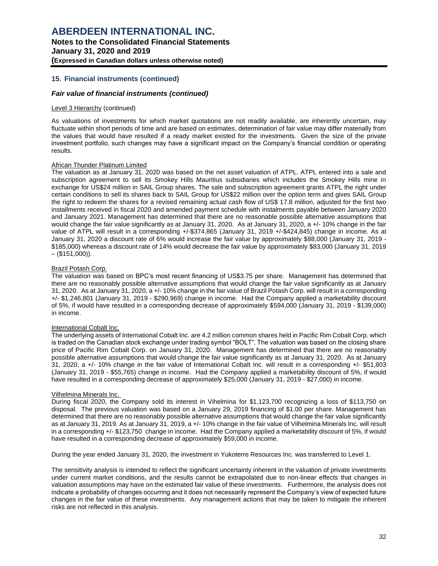## **15. Financial instruments (continued)**

## *Fair value of financial instruments (continued)*

#### Level 3 Hierarchy (continued)

As valuations of investments for which market quotations are not readily available, are inherently uncertain, may fluctuate within short periods of time and are based on estimates, determination of fair value may differ materially from the values that would have resulted if a ready market existed for the investments. Given the size of the private investment portfolio, such changes may have a significant impact on the Company's financial condition or operating results.

#### African Thunder Platinum Limited

The valuation as at January 31, 2020 was based on the net asset valuation of ATPL. ATPL entered into a sale and subscription agreement to sell its Smokey Hills Mauritius subsidiaries which includes the Smokey Hills mine in exchange for US\$24 million in SAIL Group shares. The sale and subscription agreement grants ATPL the right under certain conditions to sell its shares back to SAIL Group for US\$22 million over the option term and gives SAIL Group the right to redeem the shares for a revised remaining actual cash flow of US\$ 17.8 million, adjusted for the first two installments received in fiscal 2020 and amended payment schedule with instalments payable between January 2020 and January 2021. Management has determined that there are no reasonable possible alternative assumptions that would change the fair value significantly as at January 31, 2020. As at January 31, 2020, a +/-10% change in the fair value of ATPL will result in a corresponding +/-\$374,865 (January 31, 2019 +/-\$424,845) change in income. As at January 31, 2020 a discount rate of 6% would increase the fair value by approximately \$88,000 (January 31, 2019 - \$185,000) whereas a discount rate of 14% would decrease the fair value by approximately \$83,000 (January 31, 2019  $-$  (\$151,000)).

#### Brazil Potash Corp.

The valuation was based on BPC's most recent financing of US\$3.75 per share. Management has determined that there are no reasonably possible alternative assumptions that would change the fair value significantly as at January 31, 2020. As at January 31, 2020, a +/- 10% change in the fair value of Brazil Potash Corp. will result in a corresponding +/- \$1,246,801 (January 31, 2019 - \$290,969) change in income. Had the Company applied a marketability discount of 5%, if would have resulted in a corresponding decrease of approximately \$594,000 (January 31, 2019 - \$139,000) in income.

#### International Cobalt Inc.

The underlying assets of International Cobalt Inc. are 4.2 million common shares held in Pacific Rim Cobalt Corp. which is traded on the Canadian stock exchange under trading symbol "BOLT". The valuation was based on the closing share price of Pacific Rim Cobalt Corp. on January 31, 2020. Management has determined that there are no reasonably possible alternative assumptions that would change the fair value significantly as at January 31, 2020. As at January 31, 2020, a +/- 10% change in the fair value of International Cobalt Inc. will result in a corresponding +/- \$51,803 (January 31, 2019 - \$55,765) change in income. Had the Company applied a marketability discount of 5%, if would have resulted in a corresponding decrease of approximately \$25,000 (January 31, 2019 - \$27,000) in income.

#### Vilhelmina Minerals Inc.

During fiscal 2020, the Company sold its interest in Vihelmina for \$1,123,700 recognizing a loss of \$113,750 on disposal. The previous valuation was based on a January 29, 2019 financing of \$1.00 per share. Management has determined that there are no reasonably possible alternative assumptions that would change the fair value significantly as at January 31, 2019. As at January 31, 2019, a +/- 10% change in the fair value of Vilhelmina Minerals Inc. will result in a corresponding +/- \$123,750 change in income. Had the Company applied a marketability discount of 5%, if would have resulted in a corresponding decrease of approximately \$59,000 in income.

During the year ended January 31, 2020, the investment in Yukoterre Resources Inc. was transferred to Level 1.

The sensitivity analysis is intended to reflect the significant uncertainty inherent in the valuation of private investments under current market conditions, and the results cannot be extrapolated due to non-linear effects that changes in valuation assumptions may have on the estimated fair value of these investments. Furthermore, the analysis does not indicate a probability of changes occurring and it does not necessarily represent the Company's view of expected future changes in the fair value of these investments. Any management actions that may be taken to mitigate the inherent risks are not reflected in this analysis.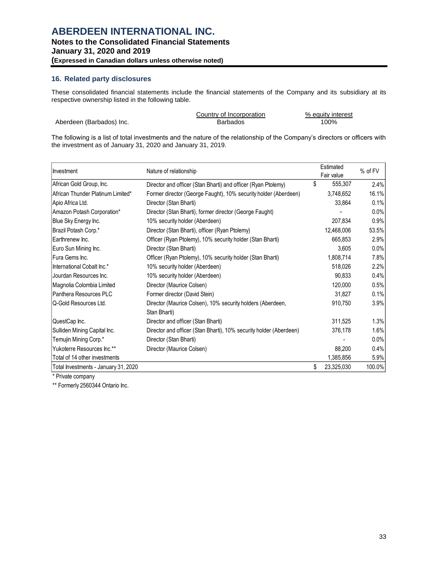## **16. Related party disclosures**

These consolidated financial statements include the financial statements of the Company and its subsidiary at its respective ownership listed in the following table.

|                          | Country of Incorporation | % equity interest |
|--------------------------|--------------------------|-------------------|
| Aberdeen (Barbados) Inc. | Barbados                 | 100%              |

The following is a list of total investments and the nature of the relationship of the Company's directors or officers with the investment as of January 31, 2020 and January 31, 2019.

| Investment                           | Nature of relationship                                                     | Estimated<br>Fair value | % of FV |
|--------------------------------------|----------------------------------------------------------------------------|-------------------------|---------|
| African Gold Group, Inc.             | Director and officer (Stan Bharti) and officer (Ryan Ptolemy)              | \$<br>555,307           | 2.4%    |
| African Thunder Platinum Limited*    | Former director (George Faught), 10% security holder (Aberdeen)            | 3,748,652               | 16.1%   |
| Apio Africa Ltd.                     | Director (Stan Bharti)                                                     | 33,864                  | 0.1%    |
| Amazon Potash Corporation*           | Director (Stan Bharti), former director (George Faught)                    |                         | 0.0%    |
| Blue Sky Energy Inc.                 | 10% security holder (Aberdeen)                                             | 207,834                 | 0.9%    |
| Brazil Potash Corp.*                 | Director (Stan Bharti), officer (Ryan Ptolemy)                             | 12,468,006              | 53.5%   |
| Earthrenew Inc.                      | Officer (Ryan Ptolemy), 10% security holder (Stan Bharti)                  | 665,853                 | 2.9%    |
| Euro Sun Mining Inc.                 | Director (Stan Bharti)                                                     | 3,605                   | 0.0%    |
| Fura Gems Inc.                       | Officer (Ryan Ptolemy), 10% security holder (Stan Bharti)                  | 1,808,714               | 7.8%    |
| International Cobalt Inc.*           | 10% security holder (Aberdeen)                                             | 518,026                 | 2.2%    |
| Jourdan Resources Inc.               | 10% security holder (Aberdeen)                                             | 90,833                  | 0.4%    |
| Magnolia Colombia Limited            | Director (Maurice Colsen)                                                  | 120,000                 | 0.5%    |
| Panthera Resources PLC               | Former director (David Stein)                                              | 31,827                  | 0.1%    |
| Q-Gold Resources Ltd.                | Director (Maurice Colsen), 10% security holders (Aberdeen,<br>Stan Bharti) | 910,750                 | 3.9%    |
| QuestCap Inc.                        | Director and officer (Stan Bharti)                                         | 311,525                 | 1.3%    |
| Sulliden Mining Capital Inc.         | Director and officer (Stan Bharti), 10% security holder (Aberdeen)         | 376,178                 | 1.6%    |
| Temujin Mining Corp.*                | Director (Stan Bharti)                                                     |                         | 0.0%    |
| Yukoterre Resources Inc.**           | Director (Maurice Colsen)                                                  | 88,200                  | 0.4%    |
| Total of 14 other investments        |                                                                            | 1,385,856               | 5.9%    |
| Total Investments - January 31, 2020 |                                                                            | \$<br>23,325,030        | 100.0%  |

\* Private company

\*\* Formerly 2560344 Ontario Inc.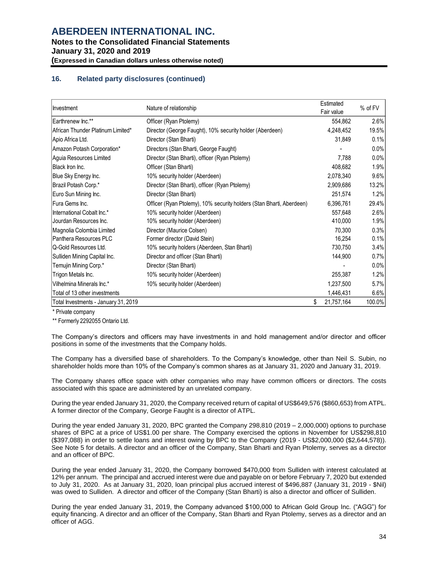## **Notes to the Consolidated Financial Statements**

**January 31, 2020 and 2019**

**(Expressed in Canadian dollars unless otherwise noted)**

## **16. Related party disclosures (continued)**

| Investment                           | Nature of relationship                                               | Estimated<br>Fair value | % of FV |
|--------------------------------------|----------------------------------------------------------------------|-------------------------|---------|
| Earthrenew Inc.**                    | Officer (Ryan Ptolemy)                                               | 554,862                 | 2.6%    |
| African Thunder Platinum Limited*    | Director (George Faught), 10% security holder (Aberdeen)             | 4,248,452               | 19.5%   |
| Apio Africa Ltd.                     | Director (Stan Bharti)                                               | 31,849                  | 0.1%    |
| Amazon Potash Corporation*           | Directors (Stan Bharti, George Faught)                               |                         | 0.0%    |
| Aguia Resources Limited              | Director (Stan Bharti), officer (Ryan Ptolemy)                       | 7,788                   | 0.0%    |
| Black Iron Inc.                      | Officer (Stan Bharti)                                                | 408,682                 | 1.9%    |
| Blue Sky Energy Inc.                 | 10% security holder (Aberdeen)                                       | 2,078,340               | 9.6%    |
| Brazil Potash Corp.*                 | Director (Stan Bharti), officer (Ryan Ptolemy)                       | 2,909,686               | 13.2%   |
| Euro Sun Mining Inc.                 | Director (Stan Bharti)                                               | 251,574                 | 1.2%    |
| Fura Gems Inc.                       | Officer (Ryan Ptolemy), 10% security holders (Stan Bharti, Aberdeen) | 6,396,761               | 29.4%   |
| International Cobalt Inc.*           | 10% security holder (Aberdeen)                                       | 557,648                 | 2.6%    |
| Jourdan Resources Inc.               | 10% security holder (Aberdeen)                                       | 410,000                 | 1.9%    |
| Magnolia Colombia Limited            | Director (Maurice Colsen)                                            | 70,300                  | 0.3%    |
| Panthera Resources PLC               | Former director (David Stein)                                        | 16,254                  | 0.1%    |
| Q-Gold Resources Ltd.                | 10% security holders (Aberdeen, Stan Bharti)                         | 730,750                 | 3.4%    |
| Sulliden Mining Capital Inc.         | Director and officer (Stan Bharti)                                   | 144,900                 | 0.7%    |
| Temujin Mining Corp.*                | Director (Stan Bharti)                                               |                         | 0.0%    |
| Trigon Metals Inc.                   | 10% security holder (Aberdeen)                                       | 255,387                 | 1.2%    |
| Vilhelmina Minerals Inc.*            | 10% security holder (Aberdeen)                                       | 1,237,500               | 5.7%    |
| Total of 13 other investments        |                                                                      | 1,446,431               | 6.6%    |
| Total Investments - January 31, 2019 |                                                                      | \$<br>21,757,164        | 100.0%  |

\* Private company

\*\* Formerly 2292055 Ontario Ltd.

The Company's directors and officers may have investments in and hold management and/or director and officer positions in some of the investments that the Company holds.

The Company has a diversified base of shareholders. To the Company's knowledge, other than Neil S. Subin, no shareholder holds more than 10% of the Company's common shares as at January 31, 2020 and January 31, 2019.

The Company shares office space with other companies who may have common officers or directors. The costs associated with this space are administered by an unrelated company.

During the year ended January 31, 2020, the Company received return of capital of US\$649,576 (\$860,653) from ATPL. A former director of the Company, George Faught is a director of ATPL.

During the year ended January 31, 2020, BPC granted the Company 298,810 (2019 – 2,000,000) options to purchase shares of BPC at a price of US\$1.00 per share. The Company exercised the options in November for US\$298,810 (\$397,088) in order to settle loans and interest owing by BPC to the Company (2019 - US\$2,000,000 (\$2,644,578)). See Note 5 for details. A director and an officer of the Company, Stan Bharti and Ryan Ptolemy, serves as a director and an officer of BPC.

During the year ended January 31, 2020, the Company borrowed \$470,000 from Sulliden with interest calculated at 12% per annum. The principal and accrued interest were due and payable on or before February 7, 2020 but extended to July 31, 2020. As at January 31, 2020, loan principal plus accrued interest of \$496,887 (January 31, 2019 - \$Nil) was owed to Sulliden. A director and officer of the Company (Stan Bharti) is also a director and officer of Sulliden.

During the year ended January 31, 2019, the Company advanced \$100,000 to African Gold Group Inc. ("AGG") for equity financing. A director and an officer of the Company, Stan Bharti and Ryan Ptolemy, serves as a director and an officer of AGG.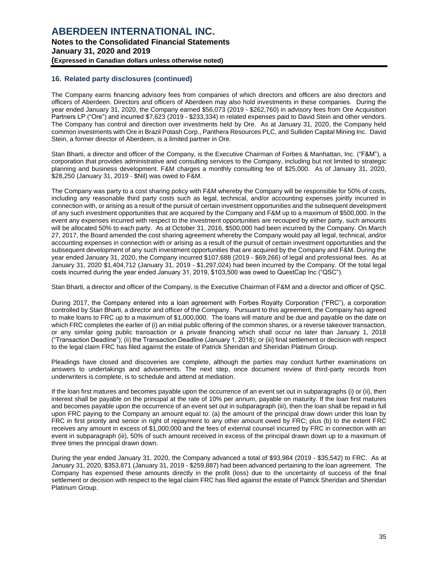## **16. Related party disclosures (continued)**

The Company earns financing advisory fees from companies of which directors and officers are also directors and officers of Aberdeen. Directors and officers of Aberdeen may also hold investments in these companies. During the year ended January 31, 2020, the Company earned \$56,073 (2019 - \$262,760) in advisory fees from Ore Acquisition Partners LP ("Ore") and incurred \$7,623 (2019 - \$233,334) in related expenses paid to David Stein and other vendors. The Company has control and direction over investments held by Ore. As at January 31, 2020, the Company held common investments with Ore in Brazil Potash Corp., Panthera Resources PLC, and Sulliden Capital Mining Inc. David Stein, a former director of Aberdeen, is a limited partner in Ore.

Stan Bharti, a director and officer of the Company, is the Executive Chairman of Forbes & Manhattan, Inc. ("F&M"), a corporation that provides administrative and consulting services to the Company, including but not limited to strategic planning and business development. F&M charges a monthly consulting fee of \$25,000. As of January 31, 2020, \$28,250 (January 31, 2019 - \$Nil) was owed to F&M.

The Company was party to a cost sharing policy with F&M whereby the Company will be responsible for 50% of costs, including any reasonable third party costs such as legal, technical, and/or accounting expenses jointly incurred in connection with, or arising as a result of the pursuit of certain investment opportunities and the subsequent development of any such investment opportunities that are acquired by the Company and F&M up to a maximum of \$500,000. In the event any expenses incurred with respect to the investment opportunities are recouped by either party, such amounts will be allocated 50% to each party. As at October 31, 2016, \$500,000 had been incurred by the Company. On March 27, 2017, the Board amended the cost sharing agreement whereby the Company would pay all legal, technical, and/or accounting expenses in connection with or arising as a result of the pursuit of certain investment opportunities and the subsequent development of any such investment opportunities that are acquired by the Company and F&M. During the year ended January 31, 2020, the Company incurred \$107,688 (2019 - \$69,266) of legal and professional fees. As at January 31, 2020 \$1,404,712 (January 31, 2019 - \$1,297,024) had been incurred by the Company. Of the total legal costs incurred during the year ended January 31, 2019, \$103,500 was owed to QuestCap Inc ("QSC").

Stan Bharti, a director and officer of the Company, is the Executive Chairman of F&M and a director and officer of QSC.

During 2017, the Company entered into a loan agreement with Forbes Royalty Corporation ("FRC"), a corporation controlled by Stan Bharti, a director and officer of the Company. Pursuant to this agreement, the Company has agreed to make loans to FRC up to a maximum of \$1,000,000. The loans will mature and be due and payable on the date on which FRC completes the earlier of (i) an initial public offering of the common shares, or a reverse takeover transaction, or any similar going public transaction or a private financing which shall occur no later than January 1, 2018 ("Transaction Deadline"); (ii) the Transaction Deadline (January 1, 2018); or (iii) final settlement or decision with respect to the legal claim FRC has filed against the estate of Patrick Sheridan and Sheridan Platinum Group.

Pleadings have closed and discoveries are complete, although the parties may conduct further examinations on answers to undertakings and advisements. The next step, once document review of third-party records from underwriters is complete, is to schedule and attend at mediation.

If the loan first matures and becomes payable upon the occurrence of an event set out in subparagraphs (i) or (ii), then interest shall be payable on the principal at the rate of 10% per annum, payable on maturity. If the loan first matures and becomes payable upon the occurrence of an event set out in subparagraph (iii), then the loan shall be repaid in full upon FRC paying to the Company an amount equal to: (a) the amount of the principal draw down under this loan by FRC in first priority and senior in right of repayment to any other amount owed by FRC; plus (b) to the extent FRC receives any amount in excess of \$1,000,000 and the fees of external counsel incurred by FRC in connection with an event in subparagraph (iii), 50% of such amount received in excess of the principal drawn down up to a maximum of three times the principal drawn down.

During the year ended January 31, 2020, the Company advanced a total of \$93,984 (2019 - \$35,542) to FRC. As at January 31, 2020, \$353,871 (January 31, 2019 - \$259,887) had been advanced pertaining to the loan agreement. The Company has expensed these amounts directly in the profit (loss) due to the uncertainty of success of the final settlement or decision with respect to the legal claim FRC has filed against the estate of Patrick Sheridan and Sheridan Platinum Group.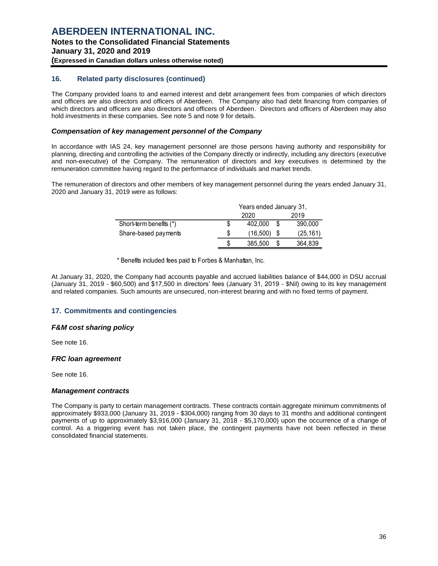## **16. Related party disclosures (continued)**

The Company provided loans to and earned interest and debt arrangement fees from companies of which directors and officers are also directors and officers of Aberdeen. The Company also had debt financing from companies of which directors and officers are also directors and officers of Aberdeen. Directors and officers of Aberdeen may also hold investments in these companies. See note 5 and note 9 for details.

## *Compensation of key management personnel of the Company*

In accordance with IAS 24, key management personnel are those persons having authority and responsibility for planning, directing and controlling the activities of the Company directly or indirectly, including any directors (executive and non-executive) of the Company. The remuneration of directors and key executives is determined by the remuneration committee having regard to the performance of individuals and market trends.

The remuneration of directors and other members of key management personnel during the years ended January 31, 2020 and January 31, 2019 were as follows:

|                         | Years ended January 31, |          |  |           |
|-------------------------|-------------------------|----------|--|-----------|
|                         |                         | 2020     |  | 2019      |
| Short-term benefits (*) | S                       | 402.000  |  | 390,000   |
| Share-based payments    | S                       | (16,500) |  | (25, 161) |
|                         | S                       | 385,500  |  | 364,839   |

\* Benefits included fees paid to Forbes & Manhattan, Inc.

At January 31, 2020, the Company had accounts payable and accrued liabilities balance of \$44,000 in DSU accrual (January 31, 2019 - \$60,500) and \$17,500 in directors' fees (January 31, 2019 - \$Nil) owing to its key management and related companies. Such amounts are unsecured, non-interest bearing and with no fixed terms of payment.

## **17. Commitments and contingencies**

## *F&M cost sharing policy*

See note 16.

## *FRC loan agreement*

See note 16.

## *Management contracts*

The Company is party to certain management contracts. These contracts contain aggregate minimum commitments of approximately \$933,000 (January 31, 2019 - \$304,000) ranging from 30 days to 31 months and additional contingent payments of up to approximately \$3,916,000 (January 31, 2018 - \$5,170,000) upon the occurrence of a change of control. As a triggering event has not taken place, the contingent payments have not been reflected in these consolidated financial statements.